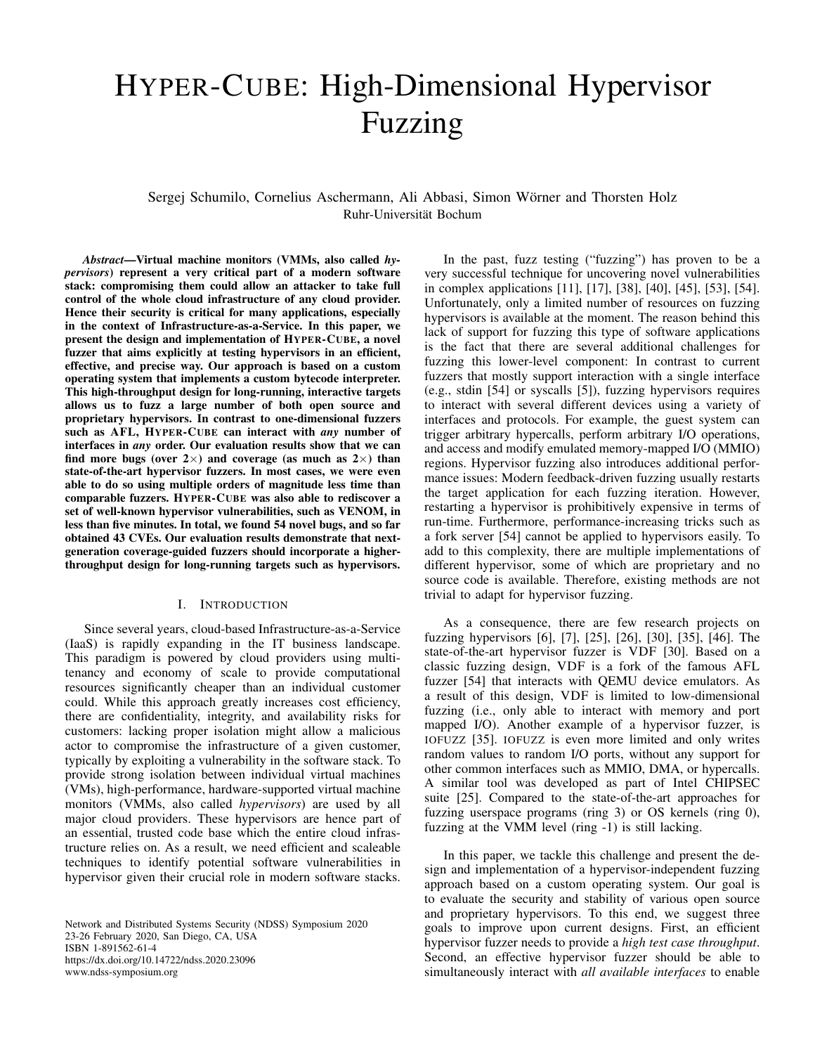# HYPER-CUBE: High-Dimensional Hypervisor Fuzzing

Sergej Schumilo, Cornelius Aschermann, Ali Abbasi, Simon Wörner and Thorsten Holz Ruhr-Universität Bochum

*Abstract*—Virtual machine monitors (VMMs, also called *hypervisors*) represent a very critical part of a modern software stack: compromising them could allow an attacker to take full control of the whole cloud infrastructure of any cloud provider. Hence their security is critical for many applications, especially in the context of Infrastructure-as-a-Service. In this paper, we present the design and implementation of HYPER-CUBE, a novel fuzzer that aims explicitly at testing hypervisors in an efficient, effective, and precise way. Our approach is based on a custom operating system that implements a custom bytecode interpreter. This high-throughput design for long-running, interactive targets allows us to fuzz a large number of both open source and proprietary hypervisors. In contrast to one-dimensional fuzzers such as AFL, HYPER-CUBE can interact with *any* number of interfaces in *any* order. Our evaluation results show that we can find more bugs (over  $2\times$ ) and coverage (as much as  $2\times$ ) than state-of-the-art hypervisor fuzzers. In most cases, we were even able to do so using multiple orders of magnitude less time than comparable fuzzers. HYPER-CUBE was also able to rediscover a set of well-known hypervisor vulnerabilities, such as VENOM, in less than five minutes. In total, we found 54 novel bugs, and so far obtained 43 CVEs. Our evaluation results demonstrate that nextgeneration coverage-guided fuzzers should incorporate a higherthroughput design for long-running targets such as hypervisors.

## I. INTRODUCTION

Since several years, cloud-based Infrastructure-as-a-Service (IaaS) is rapidly expanding in the IT business landscape. This paradigm is powered by cloud providers using multitenancy and economy of scale to provide computational resources significantly cheaper than an individual customer could. While this approach greatly increases cost efficiency, there are confidentiality, integrity, and availability risks for customers: lacking proper isolation might allow a malicious actor to compromise the infrastructure of a given customer, typically by exploiting a vulnerability in the software stack. To provide strong isolation between individual virtual machines (VMs), high-performance, hardware-supported virtual machine monitors (VMMs, also called *hypervisors*) are used by all major cloud providers. These hypervisors are hence part of an essential, trusted code base which the entire cloud infrastructure relies on. As a result, we need efficient and scaleable techniques to identify potential software vulnerabilities in hypervisor given their crucial role in modern software stacks.

Network and Distributed Systems Security (NDSS) Symposium 2020 23-26 February 2020, San Diego, CA, USA ISBN 1-891562-61-4 https://dx.doi.org/10.14722/ndss.2020.23096 www.ndss-symposium.org

In the past, fuzz testing ("fuzzing") has proven to be a very successful technique for uncovering novel vulnerabilities in complex applications [11], [17], [38], [40], [45], [53], [54]. Unfortunately, only a limited number of resources on fuzzing hypervisors is available at the moment. The reason behind this lack of support for fuzzing this type of software applications is the fact that there are several additional challenges for fuzzing this lower-level component: In contrast to current fuzzers that mostly support interaction with a single interface (e.g., stdin [54] or syscalls [5]), fuzzing hypervisors requires to interact with several different devices using a variety of interfaces and protocols. For example, the guest system can trigger arbitrary hypercalls, perform arbitrary I/O operations, and access and modify emulated memory-mapped I/O (MMIO) regions. Hypervisor fuzzing also introduces additional performance issues: Modern feedback-driven fuzzing usually restarts the target application for each fuzzing iteration. However, restarting a hypervisor is prohibitively expensive in terms of run-time. Furthermore, performance-increasing tricks such as a fork server [54] cannot be applied to hypervisors easily. To add to this complexity, there are multiple implementations of different hypervisor, some of which are proprietary and no source code is available. Therefore, existing methods are not trivial to adapt for hypervisor fuzzing.

As a consequence, there are few research projects on fuzzing hypervisors [6], [7], [25], [26], [30], [35], [46]. The state-of-the-art hypervisor fuzzer is VDF [30]. Based on a classic fuzzing design, VDF is a fork of the famous AFL fuzzer [54] that interacts with QEMU device emulators. As a result of this design, VDF is limited to low-dimensional fuzzing (i.e., only able to interact with memory and port mapped I/O). Another example of a hypervisor fuzzer, is IOFUZZ [35]. IOFUZZ is even more limited and only writes random values to random I/O ports, without any support for other common interfaces such as MMIO, DMA, or hypercalls. A similar tool was developed as part of Intel CHIPSEC suite [25]. Compared to the state-of-the-art approaches for fuzzing userspace programs (ring 3) or OS kernels (ring 0), fuzzing at the VMM level (ring -1) is still lacking.

In this paper, we tackle this challenge and present the design and implementation of a hypervisor-independent fuzzing approach based on a custom operating system. Our goal is to evaluate the security and stability of various open source and proprietary hypervisors. To this end, we suggest three goals to improve upon current designs. First, an efficient hypervisor fuzzer needs to provide a *high test case throughput*. Second, an effective hypervisor fuzzer should be able to simultaneously interact with *all available interfaces* to enable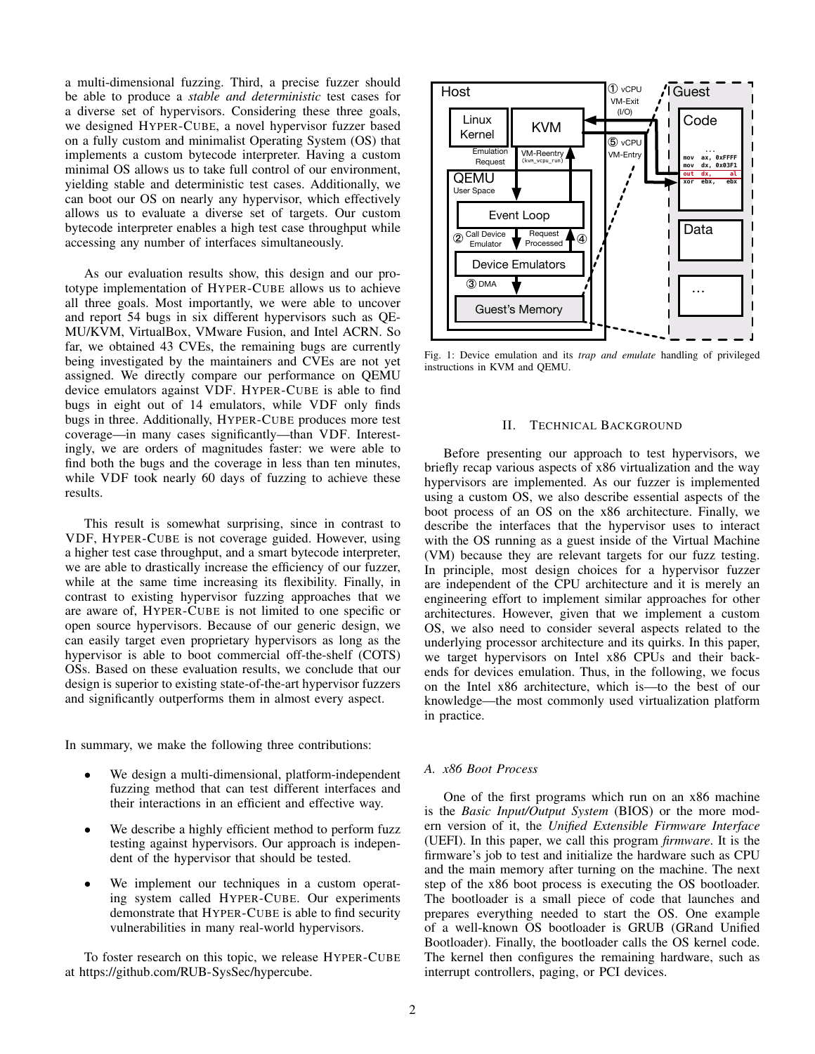a multi-dimensional fuzzing. Third, a precise fuzzer should be able to produce a *stable and deterministic* test cases for a diverse set of hypervisors. Considering these three goals, we designed HYPER-CUBE, a novel hypervisor fuzzer based on a fully custom and minimalist Operating System (OS) that implements a custom bytecode interpreter. Having a custom minimal OS allows us to take full control of our environment, yielding stable and deterministic test cases. Additionally, we can boot our OS on nearly any hypervisor, which effectively allows us to evaluate a diverse set of targets. Our custom bytecode interpreter enables a high test case throughput while accessing any number of interfaces simultaneously.

As our evaluation results show, this design and our prototype implementation of HYPER-CUBE allows us to achieve all three goals. Most importantly, we were able to uncover and report 54 bugs in six different hypervisors such as QE-MU/KVM, VirtualBox, VMware Fusion, and Intel ACRN. So far, we obtained 43 CVEs, the remaining bugs are currently being investigated by the maintainers and CVEs are not yet assigned. We directly compare our performance on QEMU device emulators against VDF. HYPER-CUBE is able to find bugs in eight out of 14 emulators, while VDF only finds bugs in three. Additionally, HYPER-CUBE produces more test coverage—in many cases significantly—than VDF. Interestingly, we are orders of magnitudes faster: we were able to find both the bugs and the coverage in less than ten minutes, while VDF took nearly 60 days of fuzzing to achieve these results.

This result is somewhat surprising, since in contrast to VDF, HYPER-CUBE is not coverage guided. However, using a higher test case throughput, and a smart bytecode interpreter, we are able to drastically increase the efficiency of our fuzzer, while at the same time increasing its flexibility. Finally, in contrast to existing hypervisor fuzzing approaches that we are aware of, HYPER-CUBE is not limited to one specific or open source hypervisors. Because of our generic design, we can easily target even proprietary hypervisors as long as the hypervisor is able to boot commercial off-the-shelf (COTS) OSs. Based on these evaluation results, we conclude that our design is superior to existing state-of-the-art hypervisor fuzzers and significantly outperforms them in almost every aspect.

In summary, we make the following three contributions:

- We design a multi-dimensional, platform-independent fuzzing method that can test different interfaces and their interactions in an efficient and effective way.
- We describe a highly efficient method to perform fuzz testing against hypervisors. Our approach is independent of the hypervisor that should be tested.
- We implement our techniques in a custom operating system called HYPER-CUBE. Our experiments demonstrate that HYPER-CUBE is able to find security vulnerabilities in many real-world hypervisors.

To foster research on this topic, we release HYPER-CUBE at https://github.com/RUB-SysSec/hypercube.



Fig. 1: Device emulation and its *trap and emulate* handling of privileged instructions in KVM and QEMU.

# II. TECHNICAL BACKGROUND

Before presenting our approach to test hypervisors, we briefly recap various aspects of x86 virtualization and the way hypervisors are implemented. As our fuzzer is implemented using a custom OS, we also describe essential aspects of the boot process of an OS on the x86 architecture. Finally, we describe the interfaces that the hypervisor uses to interact with the OS running as a guest inside of the Virtual Machine (VM) because they are relevant targets for our fuzz testing. In principle, most design choices for a hypervisor fuzzer are independent of the CPU architecture and it is merely an engineering effort to implement similar approaches for other architectures. However, given that we implement a custom OS, we also need to consider several aspects related to the underlying processor architecture and its quirks. In this paper, we target hypervisors on Intel x86 CPUs and their backends for devices emulation. Thus, in the following, we focus on the Intel x86 architecture, which is—to the best of our knowledge—the most commonly used virtualization platform in practice.

# *A. x86 Boot Process*

One of the first programs which run on an x86 machine is the *Basic Input/Output System* (BIOS) or the more modern version of it, the *Unified Extensible Firmware Interface* (UEFI). In this paper, we call this program *firmware*. It is the firmware's job to test and initialize the hardware such as CPU and the main memory after turning on the machine. The next step of the x86 boot process is executing the OS bootloader. The bootloader is a small piece of code that launches and prepares everything needed to start the OS. One example of a well-known OS bootloader is GRUB (GRand Unified Bootloader). Finally, the bootloader calls the OS kernel code. The kernel then configures the remaining hardware, such as interrupt controllers, paging, or PCI devices.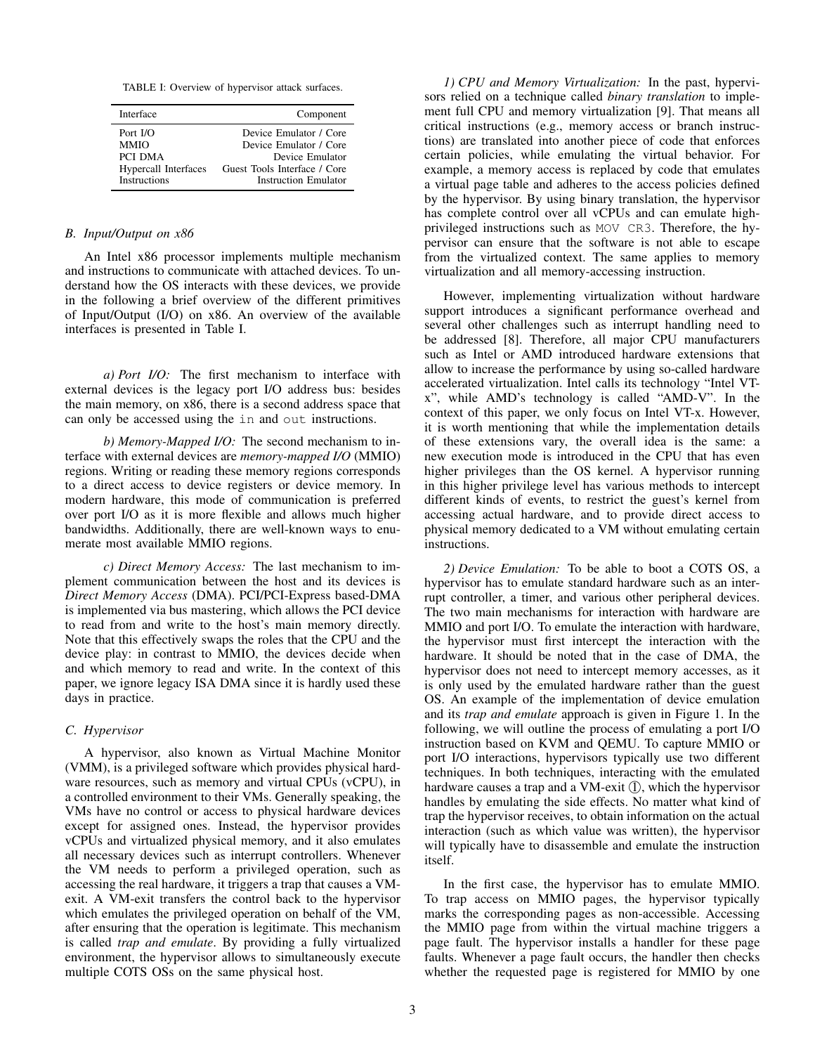TABLE I: Overview of hypervisor attack surfaces.

| Interface                   | Component                    |
|-----------------------------|------------------------------|
| Port $I/O$                  | Device Emulator / Core       |
| <b>MMIO</b>                 | Device Emulator / Core       |
| PCI DMA                     | Device Emulator              |
| <b>Hypercall Interfaces</b> | Guest Tools Interface / Core |
| <b>Instructions</b>         | Instruction Emulator         |

## *B. Input/Output on x86*

An Intel x86 processor implements multiple mechanism and instructions to communicate with attached devices. To understand how the OS interacts with these devices, we provide in the following a brief overview of the different primitives of Input/Output (I/O) on x86. An overview of the available interfaces is presented in Table I.

*a) Port I/O:* The first mechanism to interface with external devices is the legacy port I/O address bus: besides the main memory, on x86, there is a second address space that can only be accessed using the in and out instructions.

*b) Memory-Mapped I/O:* The second mechanism to interface with external devices are *memory-mapped I/O* (MMIO) regions. Writing or reading these memory regions corresponds to a direct access to device registers or device memory. In modern hardware, this mode of communication is preferred over port I/O as it is more flexible and allows much higher bandwidths. Additionally, there are well-known ways to enumerate most available MMIO regions.

*c) Direct Memory Access:* The last mechanism to implement communication between the host and its devices is *Direct Memory Access* (DMA). PCI/PCI-Express based-DMA is implemented via bus mastering, which allows the PCI device to read from and write to the host's main memory directly. Note that this effectively swaps the roles that the CPU and the device play: in contrast to MMIO, the devices decide when and which memory to read and write. In the context of this paper, we ignore legacy ISA DMA since it is hardly used these days in practice.

# *C. Hypervisor*

A hypervisor, also known as Virtual Machine Monitor (VMM), is a privileged software which provides physical hardware resources, such as memory and virtual CPUs (vCPU), in a controlled environment to their VMs. Generally speaking, the VMs have no control or access to physical hardware devices except for assigned ones. Instead, the hypervisor provides vCPUs and virtualized physical memory, and it also emulates all necessary devices such as interrupt controllers. Whenever the VM needs to perform a privileged operation, such as accessing the real hardware, it triggers a trap that causes a VMexit. A VM-exit transfers the control back to the hypervisor which emulates the privileged operation on behalf of the VM, after ensuring that the operation is legitimate. This mechanism is called *trap and emulate*. By providing a fully virtualized environment, the hypervisor allows to simultaneously execute multiple COTS OSs on the same physical host.

*1) CPU and Memory Virtualization:* In the past, hypervisors relied on a technique called *binary translation* to implement full CPU and memory virtualization [9]. That means all critical instructions (e.g., memory access or branch instructions) are translated into another piece of code that enforces certain policies, while emulating the virtual behavior. For example, a memory access is replaced by code that emulates a virtual page table and adheres to the access policies defined by the hypervisor. By using binary translation, the hypervisor has complete control over all vCPUs and can emulate highprivileged instructions such as MOV CR3. Therefore, the hypervisor can ensure that the software is not able to escape from the virtualized context. The same applies to memory virtualization and all memory-accessing instruction.

However, implementing virtualization without hardware support introduces a significant performance overhead and several other challenges such as interrupt handling need to be addressed [8]. Therefore, all major CPU manufacturers such as Intel or AMD introduced hardware extensions that allow to increase the performance by using so-called hardware accelerated virtualization. Intel calls its technology "Intel VTx", while AMD's technology is called "AMD-V". In the context of this paper, we only focus on Intel VT-x. However, it is worth mentioning that while the implementation details of these extensions vary, the overall idea is the same: a new execution mode is introduced in the CPU that has even higher privileges than the OS kernel. A hypervisor running in this higher privilege level has various methods to intercept different kinds of events, to restrict the guest's kernel from accessing actual hardware, and to provide direct access to physical memory dedicated to a VM without emulating certain instructions.

*2) Device Emulation:* To be able to boot a COTS OS, a hypervisor has to emulate standard hardware such as an interrupt controller, a timer, and various other peripheral devices. The two main mechanisms for interaction with hardware are MMIO and port I/O. To emulate the interaction with hardware, the hypervisor must first intercept the interaction with the hardware. It should be noted that in the case of DMA, the hypervisor does not need to intercept memory accesses, as it is only used by the emulated hardware rather than the guest OS. An example of the implementation of device emulation and its *trap and emulate* approach is given in Figure 1. In the following, we will outline the process of emulating a port I/O instruction based on KVM and QEMU. To capture MMIO or port I/O interactions, hypervisors typically use two different techniques. In both techniques, interacting with the emulated hardware causes a trap and a VM-exit  $(1)$ , which the hypervisor handles by emulating the side effects. No matter what kind of trap the hypervisor receives, to obtain information on the actual interaction (such as which value was written), the hypervisor will typically have to disassemble and emulate the instruction itself.

In the first case, the hypervisor has to emulate MMIO. To trap access on MMIO pages, the hypervisor typically marks the corresponding pages as non-accessible. Accessing the MMIO page from within the virtual machine triggers a page fault. The hypervisor installs a handler for these page faults. Whenever a page fault occurs, the handler then checks whether the requested page is registered for MMIO by one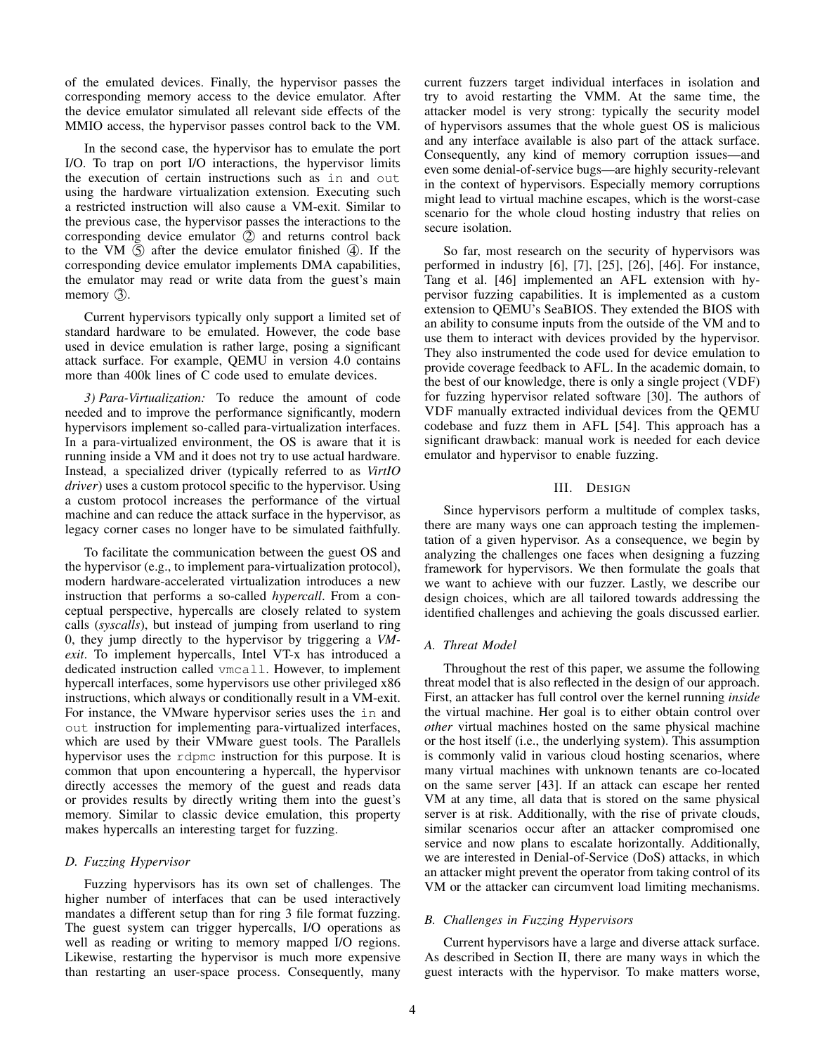of the emulated devices. Finally, the hypervisor passes the corresponding memory access to the device emulator. After the device emulator simulated all relevant side effects of the MMIO access, the hypervisor passes control back to the VM.

In the second case, the hypervisor has to emulate the port I/O. To trap on port I/O interactions, the hypervisor limits the execution of certain instructions such as in and out using the hardware virtualization extension. Executing such a restricted instruction will also cause a VM-exit. Similar to the previous case, the hypervisor passes the interactions to the corresponding device emulator  $(2)$  and returns control back to the VM  $(5)$  after the device emulator finished  $(4)$ . If the corresponding device emulator implements DMA capabilities, the emulator may read or write data from the guest's main memory  $(3)$ .

Current hypervisors typically only support a limited set of standard hardware to be emulated. However, the code base used in device emulation is rather large, posing a significant attack surface. For example, QEMU in version 4.0 contains more than 400k lines of C code used to emulate devices.

*3) Para-Virtualization:* To reduce the amount of code needed and to improve the performance significantly, modern hypervisors implement so-called para-virtualization interfaces. In a para-virtualized environment, the OS is aware that it is running inside a VM and it does not try to use actual hardware. Instead, a specialized driver (typically referred to as *VirtIO driver*) uses a custom protocol specific to the hypervisor. Using a custom protocol increases the performance of the virtual machine and can reduce the attack surface in the hypervisor, as legacy corner cases no longer have to be simulated faithfully.

To facilitate the communication between the guest OS and the hypervisor (e.g., to implement para-virtualization protocol), modern hardware-accelerated virtualization introduces a new instruction that performs a so-called *hypercall*. From a conceptual perspective, hypercalls are closely related to system calls (*syscalls*), but instead of jumping from userland to ring 0, they jump directly to the hypervisor by triggering a *VMexit*. To implement hypercalls, Intel VT-x has introduced a dedicated instruction called vmcall. However, to implement hypercall interfaces, some hypervisors use other privileged x86 instructions, which always or conditionally result in a VM-exit. For instance, the VMware hypervisor series uses the in and out instruction for implementing para-virtualized interfaces, which are used by their VMware guest tools. The Parallels hypervisor uses the rdpmc instruction for this purpose. It is common that upon encountering a hypercall, the hypervisor directly accesses the memory of the guest and reads data or provides results by directly writing them into the guest's memory. Similar to classic device emulation, this property makes hypercalls an interesting target for fuzzing.

# *D. Fuzzing Hypervisor*

Fuzzing hypervisors has its own set of challenges. The higher number of interfaces that can be used interactively mandates a different setup than for ring 3 file format fuzzing. The guest system can trigger hypercalls, I/O operations as well as reading or writing to memory mapped I/O regions. Likewise, restarting the hypervisor is much more expensive than restarting an user-space process. Consequently, many current fuzzers target individual interfaces in isolation and try to avoid restarting the VMM. At the same time, the attacker model is very strong: typically the security model of hypervisors assumes that the whole guest OS is malicious and any interface available is also part of the attack surface. Consequently, any kind of memory corruption issues—and even some denial-of-service bugs—are highly security-relevant in the context of hypervisors. Especially memory corruptions might lead to virtual machine escapes, which is the worst-case scenario for the whole cloud hosting industry that relies on secure isolation.

So far, most research on the security of hypervisors was performed in industry [6], [7], [25], [26], [46]. For instance, Tang et al. [46] implemented an AFL extension with hypervisor fuzzing capabilities. It is implemented as a custom extension to QEMU's SeaBIOS. They extended the BIOS with an ability to consume inputs from the outside of the VM and to use them to interact with devices provided by the hypervisor. They also instrumented the code used for device emulation to provide coverage feedback to AFL. In the academic domain, to the best of our knowledge, there is only a single project (VDF) for fuzzing hypervisor related software [30]. The authors of VDF manually extracted individual devices from the QEMU codebase and fuzz them in AFL [54]. This approach has a significant drawback: manual work is needed for each device emulator and hypervisor to enable fuzzing.

# III. DESIGN

Since hypervisors perform a multitude of complex tasks, there are many ways one can approach testing the implementation of a given hypervisor. As a consequence, we begin by analyzing the challenges one faces when designing a fuzzing framework for hypervisors. We then formulate the goals that we want to achieve with our fuzzer. Lastly, we describe our design choices, which are all tailored towards addressing the identified challenges and achieving the goals discussed earlier.

# *A. Threat Model*

Throughout the rest of this paper, we assume the following threat model that is also reflected in the design of our approach. First, an attacker has full control over the kernel running *inside* the virtual machine. Her goal is to either obtain control over *other* virtual machines hosted on the same physical machine or the host itself (i.e., the underlying system). This assumption is commonly valid in various cloud hosting scenarios, where many virtual machines with unknown tenants are co-located on the same server [43]. If an attack can escape her rented VM at any time, all data that is stored on the same physical server is at risk. Additionally, with the rise of private clouds, similar scenarios occur after an attacker compromised one service and now plans to escalate horizontally. Additionally, we are interested in Denial-of-Service (DoS) attacks, in which an attacker might prevent the operator from taking control of its VM or the attacker can circumvent load limiting mechanisms.

# *B. Challenges in Fuzzing Hypervisors*

Current hypervisors have a large and diverse attack surface. As described in Section II, there are many ways in which the guest interacts with the hypervisor. To make matters worse,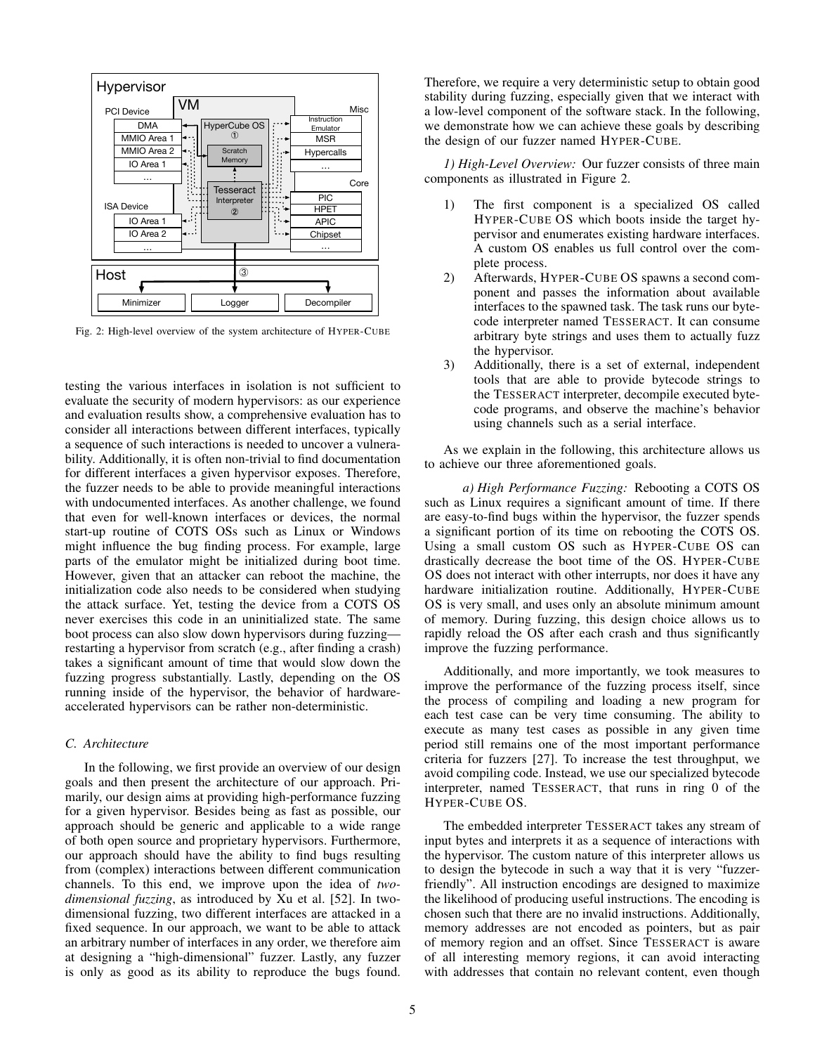

Fig. 2: High-level overview of the system architecture of HYPER-CUBE

testing the various interfaces in isolation is not sufficient to evaluate the security of modern hypervisors: as our experience and evaluation results show, a comprehensive evaluation has to consider all interactions between different interfaces, typically a sequence of such interactions is needed to uncover a vulnerability. Additionally, it is often non-trivial to find documentation for different interfaces a given hypervisor exposes. Therefore, the fuzzer needs to be able to provide meaningful interactions with undocumented interfaces. As another challenge, we found that even for well-known interfaces or devices, the normal start-up routine of COTS OSs such as Linux or Windows might influence the bug finding process. For example, large parts of the emulator might be initialized during boot time. However, given that an attacker can reboot the machine, the initialization code also needs to be considered when studying the attack surface. Yet, testing the device from a COTS OS never exercises this code in an uninitialized state. The same boot process can also slow down hypervisors during fuzzing restarting a hypervisor from scratch (e.g., after finding a crash) takes a significant amount of time that would slow down the fuzzing progress substantially. Lastly, depending on the OS running inside of the hypervisor, the behavior of hardwareaccelerated hypervisors can be rather non-deterministic.

# *C. Architecture*

In the following, we first provide an overview of our design goals and then present the architecture of our approach. Primarily, our design aims at providing high-performance fuzzing for a given hypervisor. Besides being as fast as possible, our approach should be generic and applicable to a wide range of both open source and proprietary hypervisors. Furthermore, our approach should have the ability to find bugs resulting from (complex) interactions between different communication channels. To this end, we improve upon the idea of *twodimensional fuzzing*, as introduced by Xu et al. [52]. In twodimensional fuzzing, two different interfaces are attacked in a fixed sequence. In our approach, we want to be able to attack an arbitrary number of interfaces in any order, we therefore aim at designing a "high-dimensional" fuzzer. Lastly, any fuzzer is only as good as its ability to reproduce the bugs found. Therefore, we require a very deterministic setup to obtain good stability during fuzzing, especially given that we interact with a low-level component of the software stack. In the following, we demonstrate how we can achieve these goals by describing the design of our fuzzer named HYPER-CUBE.

*1) High-Level Overview:* Our fuzzer consists of three main components as illustrated in Figure 2.

- 1) The first component is a specialized OS called HYPER-CUBE OS which boots inside the target hypervisor and enumerates existing hardware interfaces. A custom OS enables us full control over the complete process.
- 2) Afterwards, HYPER-CUBE OS spawns a second component and passes the information about available interfaces to the spawned task. The task runs our bytecode interpreter named TESSERACT. It can consume arbitrary byte strings and uses them to actually fuzz the hypervisor.
- 3) Additionally, there is a set of external, independent tools that are able to provide bytecode strings to the TESSERACT interpreter, decompile executed bytecode programs, and observe the machine's behavior using channels such as a serial interface.

As we explain in the following, this architecture allows us to achieve our three aforementioned goals.

*a) High Performance Fuzzing:* Rebooting a COTS OS such as Linux requires a significant amount of time. If there are easy-to-find bugs within the hypervisor, the fuzzer spends a significant portion of its time on rebooting the COTS OS. Using a small custom OS such as HYPER-CUBE OS can drastically decrease the boot time of the OS. HYPER-CUBE OS does not interact with other interrupts, nor does it have any hardware initialization routine. Additionally, HYPER-CUBE OS is very small, and uses only an absolute minimum amount of memory. During fuzzing, this design choice allows us to rapidly reload the OS after each crash and thus significantly improve the fuzzing performance.

Additionally, and more importantly, we took measures to improve the performance of the fuzzing process itself, since the process of compiling and loading a new program for each test case can be very time consuming. The ability to execute as many test cases as possible in any given time period still remains one of the most important performance criteria for fuzzers [27]. To increase the test throughput, we avoid compiling code. Instead, we use our specialized bytecode interpreter, named TESSERACT, that runs in ring 0 of the HYPER-CUBE OS.

The embedded interpreter TESSERACT takes any stream of input bytes and interprets it as a sequence of interactions with the hypervisor. The custom nature of this interpreter allows us to design the bytecode in such a way that it is very "fuzzerfriendly". All instruction encodings are designed to maximize the likelihood of producing useful instructions. The encoding is chosen such that there are no invalid instructions. Additionally, memory addresses are not encoded as pointers, but as pair of memory region and an offset. Since TESSERACT is aware of all interesting memory regions, it can avoid interacting with addresses that contain no relevant content, even though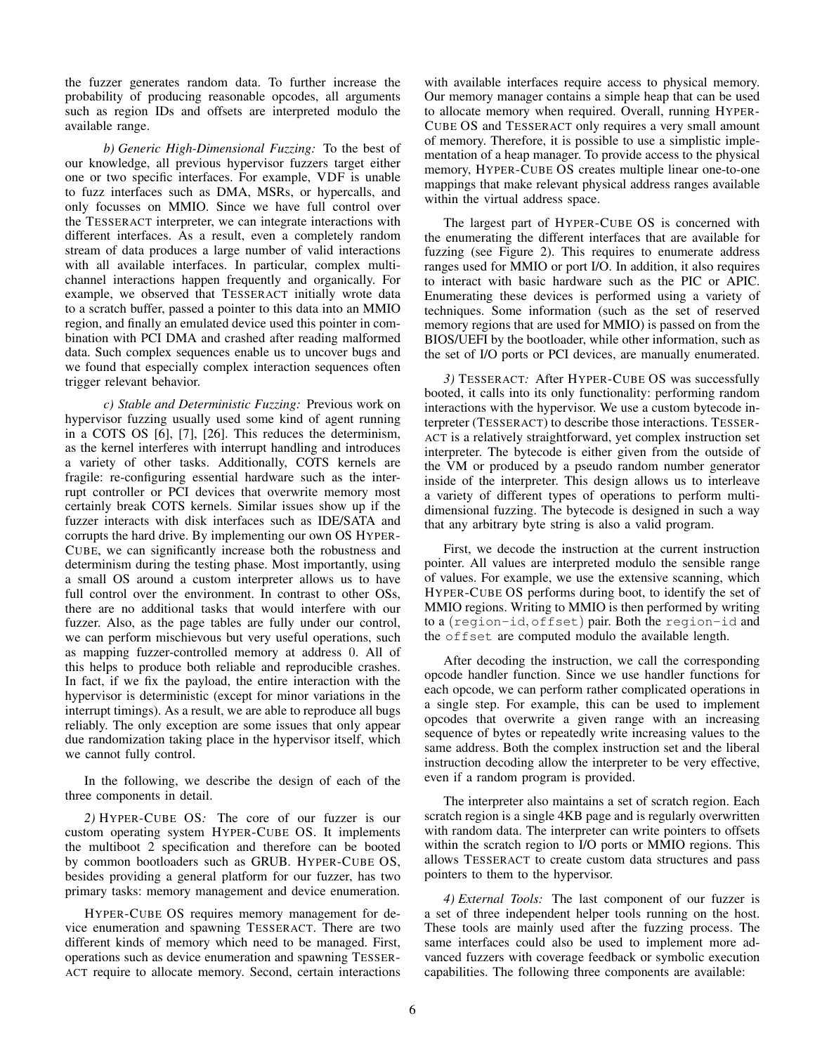the fuzzer generates random data. To further increase the probability of producing reasonable opcodes, all arguments such as region IDs and offsets are interpreted modulo the available range.

*b) Generic High-Dimensional Fuzzing:* To the best of our knowledge, all previous hypervisor fuzzers target either one or two specific interfaces. For example, VDF is unable to fuzz interfaces such as DMA, MSRs, or hypercalls, and only focusses on MMIO. Since we have full control over the TESSERACT interpreter, we can integrate interactions with different interfaces. As a result, even a completely random stream of data produces a large number of valid interactions with all available interfaces. In particular, complex multichannel interactions happen frequently and organically. For example, we observed that TESSERACT initially wrote data to a scratch buffer, passed a pointer to this data into an MMIO region, and finally an emulated device used this pointer in combination with PCI DMA and crashed after reading malformed data. Such complex sequences enable us to uncover bugs and we found that especially complex interaction sequences often trigger relevant behavior.

*c) Stable and Deterministic Fuzzing:* Previous work on hypervisor fuzzing usually used some kind of agent running in a COTS OS [6], [7], [26]. This reduces the determinism, as the kernel interferes with interrupt handling and introduces a variety of other tasks. Additionally, COTS kernels are fragile: re-configuring essential hardware such as the interrupt controller or PCI devices that overwrite memory most certainly break COTS kernels. Similar issues show up if the fuzzer interacts with disk interfaces such as IDE/SATA and corrupts the hard drive. By implementing our own OS HYPER-CUBE, we can significantly increase both the robustness and determinism during the testing phase. Most importantly, using a small OS around a custom interpreter allows us to have full control over the environment. In contrast to other OSs, there are no additional tasks that would interfere with our fuzzer. Also, as the page tables are fully under our control, we can perform mischievous but very useful operations, such as mapping fuzzer-controlled memory at address 0. All of this helps to produce both reliable and reproducible crashes. In fact, if we fix the payload, the entire interaction with the hypervisor is deterministic (except for minor variations in the interrupt timings). As a result, we are able to reproduce all bugs reliably. The only exception are some issues that only appear due randomization taking place in the hypervisor itself, which we cannot fully control.

In the following, we describe the design of each of the three components in detail.

*2)* HYPER-CUBE OS*:* The core of our fuzzer is our custom operating system HYPER-CUBE OS. It implements the multiboot 2 specification and therefore can be booted by common bootloaders such as GRUB. HYPER-CUBE OS, besides providing a general platform for our fuzzer, has two primary tasks: memory management and device enumeration.

HYPER-CUBE OS requires memory management for device enumeration and spawning TESSERACT. There are two different kinds of memory which need to be managed. First, operations such as device enumeration and spawning TESSER-ACT require to allocate memory. Second, certain interactions with available interfaces require access to physical memory. Our memory manager contains a simple heap that can be used to allocate memory when required. Overall, running HYPER-CUBE OS and TESSERACT only requires a very small amount of memory. Therefore, it is possible to use a simplistic implementation of a heap manager. To provide access to the physical memory, HYPER-CUBE OS creates multiple linear one-to-one mappings that make relevant physical address ranges available within the virtual address space.

The largest part of HYPER-CUBE OS is concerned with the enumerating the different interfaces that are available for fuzzing (see Figure 2). This requires to enumerate address ranges used for MMIO or port I/O. In addition, it also requires to interact with basic hardware such as the PIC or APIC. Enumerating these devices is performed using a variety of techniques. Some information (such as the set of reserved memory regions that are used for MMIO) is passed on from the BIOS/UEFI by the bootloader, while other information, such as the set of I/O ports or PCI devices, are manually enumerated.

*3)* TESSERACT*:* After HYPER-CUBE OS was successfully booted, it calls into its only functionality: performing random interactions with the hypervisor. We use a custom bytecode interpreter (TESSERACT) to describe those interactions. TESSER-ACT is a relatively straightforward, yet complex instruction set interpreter. The bytecode is either given from the outside of the VM or produced by a pseudo random number generator inside of the interpreter. This design allows us to interleave a variety of different types of operations to perform multidimensional fuzzing. The bytecode is designed in such a way that any arbitrary byte string is also a valid program.

First, we decode the instruction at the current instruction pointer. All values are interpreted modulo the sensible range of values. For example, we use the extensive scanning, which HYPER-CUBE OS performs during boot, to identify the set of MMIO regions. Writing to MMIO is then performed by writing to a (region-id, offset) pair. Both the region-id and the offset are computed modulo the available length.

After decoding the instruction, we call the corresponding opcode handler function. Since we use handler functions for each opcode, we can perform rather complicated operations in a single step. For example, this can be used to implement opcodes that overwrite a given range with an increasing sequence of bytes or repeatedly write increasing values to the same address. Both the complex instruction set and the liberal instruction decoding allow the interpreter to be very effective, even if a random program is provided.

The interpreter also maintains a set of scratch region. Each scratch region is a single 4KB page and is regularly overwritten with random data. The interpreter can write pointers to offsets within the scratch region to I/O ports or MMIO regions. This allows TESSERACT to create custom data structures and pass pointers to them to the hypervisor.

*4) External Tools:* The last component of our fuzzer is a set of three independent helper tools running on the host. These tools are mainly used after the fuzzing process. The same interfaces could also be used to implement more advanced fuzzers with coverage feedback or symbolic execution capabilities. The following three components are available: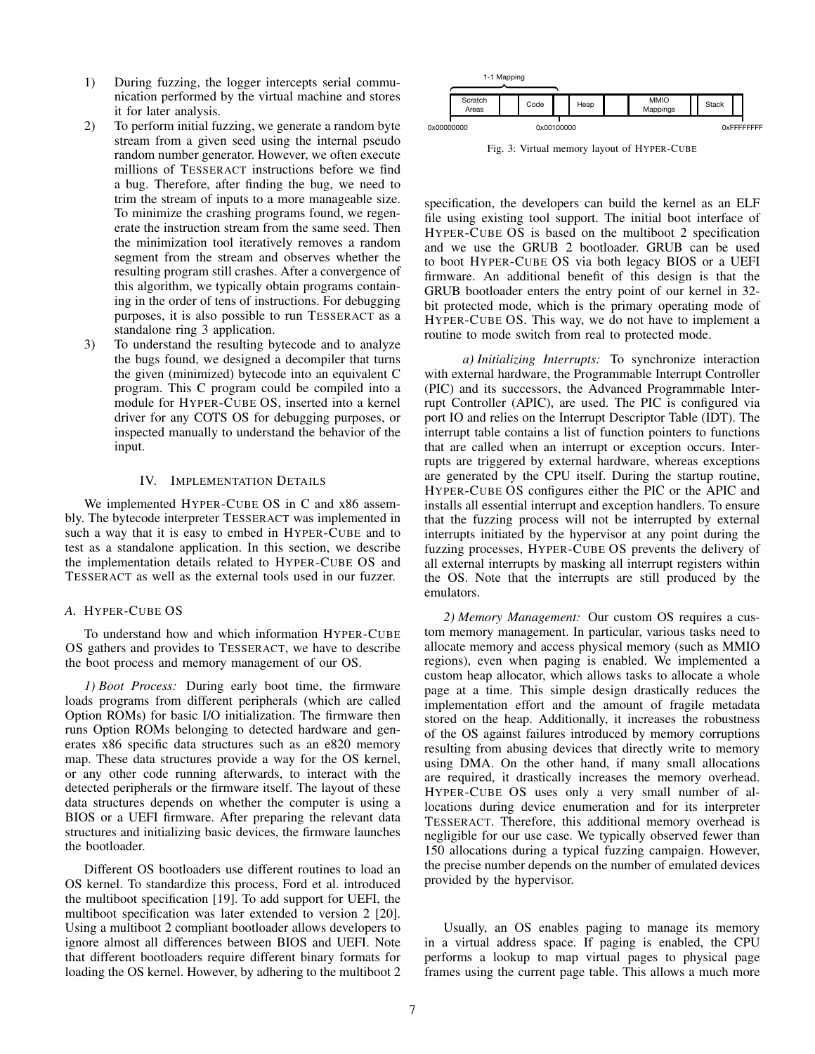- 1) During fuzzing, the logger intercepts serial communication performed by the virtual machine and stores it for later analysis.
- 2) To perform initial fuzzing, we generate a random byte stream from a given seed using the internal pseudo random number generator. However, we often execute millions of TESSERACT instructions before we find a bug. Therefore, after finding the bug, we need to trim the stream of inputs to a more manageable size. To minimize the crashing programs found, we regenerate the instruction stream from the same seed. Then the minimization tool iteratively removes a random segment from the stream and observes whether the resulting program still crashes. After a convergence of this algorithm, we typically obtain programs containing in the order of tens of instructions. For debugging purposes, it is also possible to run TESSERACT as a standalone ring 3 application.
- 3) To understand the resulting bytecode and to analyze the bugs found, we designed a decompiler that turns the given (minimized) bytecode into an equivalent C program. This C program could be compiled into a module for HYPER-CUBE OS, inserted into a kernel driver for any COTS OS for debugging purposes, or inspected manually to understand the behavior of the input.

## IV. IMPLEMENTATION DETAILS

We implemented HYPER-CUBE OS in C and x86 assembly. The bytecode interpreter TESSERACT was implemented in such a way that it is easy to embed in HYPER-CUBE and to test as a standalone application. In this section, we describe the implementation details related to HYPER-CUBE OS and TESSERACT as well as the external tools used in our fuzzer.

# *A.* HYPER-CUBE OS

To understand how and which information HYPER-CUBE OS gathers and provides to TESSERACT, we have to describe the boot process and memory management of our OS.

*1) Boot Process:* During early boot time, the firmware loads programs from different peripherals (which are called Option ROMs) for basic I/O initialization. The firmware then runs Option ROMs belonging to detected hardware and generates x86 specific data structures such as an e820 memory map. These data structures provide a way for the OS kernel, or any other code running afterwards, to interact with the detected peripherals or the firmware itself. The layout of these data structures depends on whether the computer is using a BIOS or a UEFI firmware. After preparing the relevant data structures and initializing basic devices, the firmware launches the bootloader.

Different OS bootloaders use different routines to load an OS kernel. To standardize this process, Ford et al. introduced the multiboot specification [19]. To add support for UEFI, the multiboot specification was later extended to version 2 [20]. Using a multiboot 2 compliant bootloader allows developers to ignore almost all differences between BIOS and UEFI. Note that different bootloaders require different binary formats for loading the OS kernel. However, by adhering to the multiboot 2

| 1-1 Mapping |                  |  |            |  |      |  |                         |  |       |             |
|-------------|------------------|--|------------|--|------|--|-------------------------|--|-------|-------------|
|             | Scratch<br>Areas |  | Code       |  | Heap |  | <b>MMIO</b><br>Mappings |  | Stack |             |
| 0x00000000  |                  |  | 0x00100000 |  |      |  |                         |  |       | 0xFFFFFFFFF |

Fig. 3: Virtual memory layout of HYPER-CUBE

specification, the developers can build the kernel as an ELF file using existing tool support. The initial boot interface of HYPER-CUBE OS is based on the multiboot 2 specification and we use the GRUB 2 bootloader. GRUB can be used to boot HYPER-CUBE OS via both legacy BIOS or a UEFI firmware. An additional benefit of this design is that the GRUB bootloader enters the entry point of our kernel in 32 bit protected mode, which is the primary operating mode of HYPER-CUBE OS. This way, we do not have to implement a routine to mode switch from real to protected mode.

*a) Initializing Interrupts:* To synchronize interaction with external hardware, the Programmable Interrupt Controller (PIC) and its successors, the Advanced Programmable Interrupt Controller (APIC), are used. The PIC is configured via port IO and relies on the Interrupt Descriptor Table (IDT). The interrupt table contains a list of function pointers to functions that are called when an interrupt or exception occurs. Interrupts are triggered by external hardware, whereas exceptions are generated by the CPU itself. During the startup routine, HYPER-CUBE OS configures either the PIC or the APIC and installs all essential interrupt and exception handlers. To ensure that the fuzzing process will not be interrupted by external interrupts initiated by the hypervisor at any point during the fuzzing processes, HYPER-CUBE OS prevents the delivery of all external interrupts by masking all interrupt registers within the OS. Note that the interrupts are still produced by the emulators.

*2) Memory Management:* Our custom OS requires a custom memory management. In particular, various tasks need to allocate memory and access physical memory (such as MMIO regions), even when paging is enabled. We implemented a custom heap allocator, which allows tasks to allocate a whole page at a time. This simple design drastically reduces the implementation effort and the amount of fragile metadata stored on the heap. Additionally, it increases the robustness of the OS against failures introduced by memory corruptions resulting from abusing devices that directly write to memory using DMA. On the other hand, if many small allocations are required, it drastically increases the memory overhead. HYPER-CUBE OS uses only a very small number of allocations during device enumeration and for its interpreter TESSERACT. Therefore, this additional memory overhead is negligible for our use case. We typically observed fewer than 150 allocations during a typical fuzzing campaign. However, the precise number depends on the number of emulated devices provided by the hypervisor.

Usually, an OS enables paging to manage its memory in a virtual address space. If paging is enabled, the CPU performs a lookup to map virtual pages to physical page frames using the current page table. This allows a much more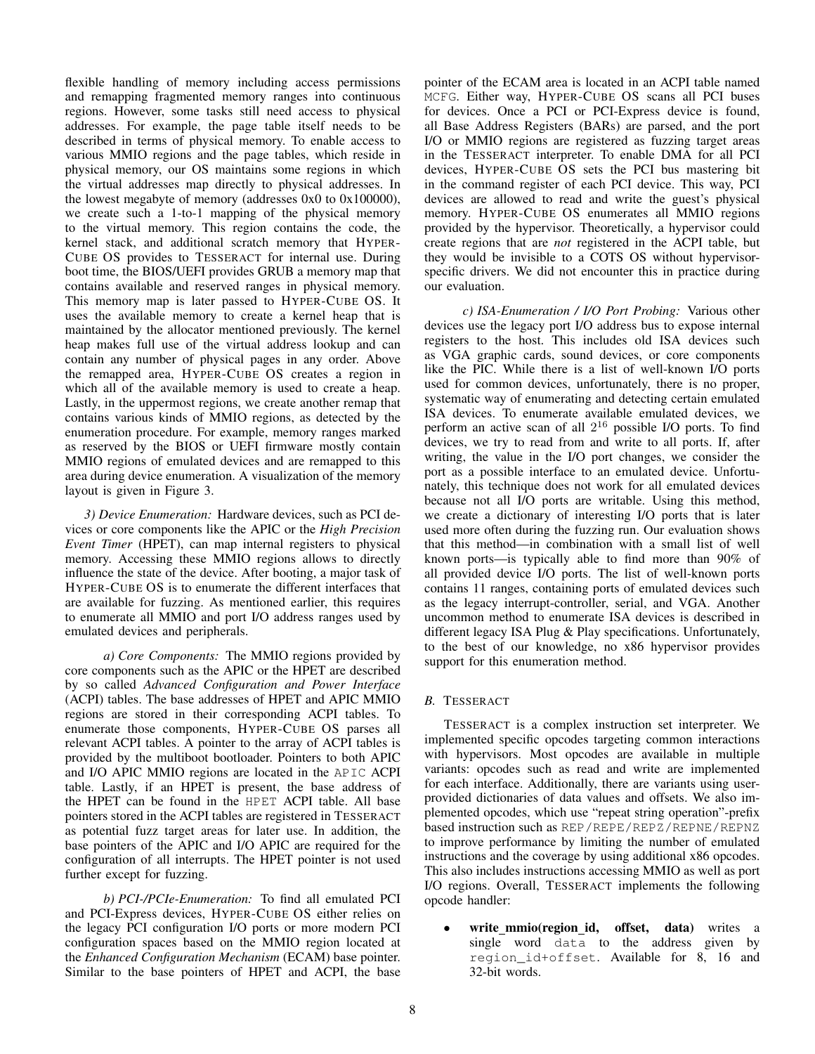flexible handling of memory including access permissions and remapping fragmented memory ranges into continuous regions. However, some tasks still need access to physical addresses. For example, the page table itself needs to be described in terms of physical memory. To enable access to various MMIO regions and the page tables, which reside in physical memory, our OS maintains some regions in which the virtual addresses map directly to physical addresses. In the lowest megabyte of memory (addresses 0x0 to 0x100000), we create such a 1-to-1 mapping of the physical memory to the virtual memory. This region contains the code, the kernel stack, and additional scratch memory that HYPER-CUBE OS provides to TESSERACT for internal use. During boot time, the BIOS/UEFI provides GRUB a memory map that contains available and reserved ranges in physical memory. This memory map is later passed to HYPER-CUBE OS. It uses the available memory to create a kernel heap that is maintained by the allocator mentioned previously. The kernel heap makes full use of the virtual address lookup and can contain any number of physical pages in any order. Above the remapped area, HYPER-CUBE OS creates a region in which all of the available memory is used to create a heap. Lastly, in the uppermost regions, we create another remap that contains various kinds of MMIO regions, as detected by the enumeration procedure. For example, memory ranges marked as reserved by the BIOS or UEFI firmware mostly contain MMIO regions of emulated devices and are remapped to this area during device enumeration. A visualization of the memory layout is given in Figure 3.

*3) Device Enumeration:* Hardware devices, such as PCI devices or core components like the APIC or the *High Precision Event Timer* (HPET), can map internal registers to physical memory. Accessing these MMIO regions allows to directly influence the state of the device. After booting, a major task of HYPER-CUBE OS is to enumerate the different interfaces that are available for fuzzing. As mentioned earlier, this requires to enumerate all MMIO and port I/O address ranges used by emulated devices and peripherals.

*a) Core Components:* The MMIO regions provided by core components such as the APIC or the HPET are described by so called *Advanced Configuration and Power Interface* (ACPI) tables. The base addresses of HPET and APIC MMIO regions are stored in their corresponding ACPI tables. To enumerate those components, HYPER-CUBE OS parses all relevant ACPI tables. A pointer to the array of ACPI tables is provided by the multiboot bootloader. Pointers to both APIC and I/O APIC MMIO regions are located in the APIC ACPI table. Lastly, if an HPET is present, the base address of the HPET can be found in the HPET ACPI table. All base pointers stored in the ACPI tables are registered in TESSERACT as potential fuzz target areas for later use. In addition, the base pointers of the APIC and I/O APIC are required for the configuration of all interrupts. The HPET pointer is not used further except for fuzzing.

*b) PCI-/PCIe-Enumeration:* To find all emulated PCI and PCI-Express devices, HYPER-CUBE OS either relies on the legacy PCI configuration I/O ports or more modern PCI configuration spaces based on the MMIO region located at the *Enhanced Configuration Mechanism* (ECAM) base pointer. Similar to the base pointers of HPET and ACPI, the base pointer of the ECAM area is located in an ACPI table named MCFG. Either way, HYPER-CUBE OS scans all PCI buses for devices. Once a PCI or PCI-Express device is found, all Base Address Registers (BARs) are parsed, and the port I/O or MMIO regions are registered as fuzzing target areas in the TESSERACT interpreter. To enable DMA for all PCI devices, HYPER-CUBE OS sets the PCI bus mastering bit in the command register of each PCI device. This way, PCI devices are allowed to read and write the guest's physical memory. HYPER-CUBE OS enumerates all MMIO regions provided by the hypervisor. Theoretically, a hypervisor could create regions that are *not* registered in the ACPI table, but they would be invisible to a COTS OS without hypervisorspecific drivers. We did not encounter this in practice during our evaluation.

*c) ISA-Enumeration / I/O Port Probing:* Various other devices use the legacy port I/O address bus to expose internal registers to the host. This includes old ISA devices such as VGA graphic cards, sound devices, or core components like the PIC. While there is a list of well-known I/O ports used for common devices, unfortunately, there is no proper, systematic way of enumerating and detecting certain emulated ISA devices. To enumerate available emulated devices, we perform an active scan of all  $2^{16}$  possible I/O ports. To find devices, we try to read from and write to all ports. If, after writing, the value in the I/O port changes, we consider the port as a possible interface to an emulated device. Unfortunately, this technique does not work for all emulated devices because not all I/O ports are writable. Using this method, we create a dictionary of interesting I/O ports that is later used more often during the fuzzing run. Our evaluation shows that this method—in combination with a small list of well known ports—is typically able to find more than 90% of all provided device I/O ports. The list of well-known ports contains 11 ranges, containing ports of emulated devices such as the legacy interrupt-controller, serial, and VGA. Another uncommon method to enumerate ISA devices is described in different legacy ISA Plug & Play specifications. Unfortunately, to the best of our knowledge, no x86 hypervisor provides support for this enumeration method.

# *B.* TESSERACT

TESSERACT is a complex instruction set interpreter. We implemented specific opcodes targeting common interactions with hypervisors. Most opcodes are available in multiple variants: opcodes such as read and write are implemented for each interface. Additionally, there are variants using userprovided dictionaries of data values and offsets. We also implemented opcodes, which use "repeat string operation"-prefix based instruction such as REP/REPE/REPZ/REPNE/REPNZ to improve performance by limiting the number of emulated instructions and the coverage by using additional x86 opcodes. This also includes instructions accessing MMIO as well as port I/O regions. Overall, TESSERACT implements the following opcode handler:

write\_mmio(region\_id, offset, data) writes a single word data to the address given by region\_id+offset. Available for 8, 16 and 32-bit words.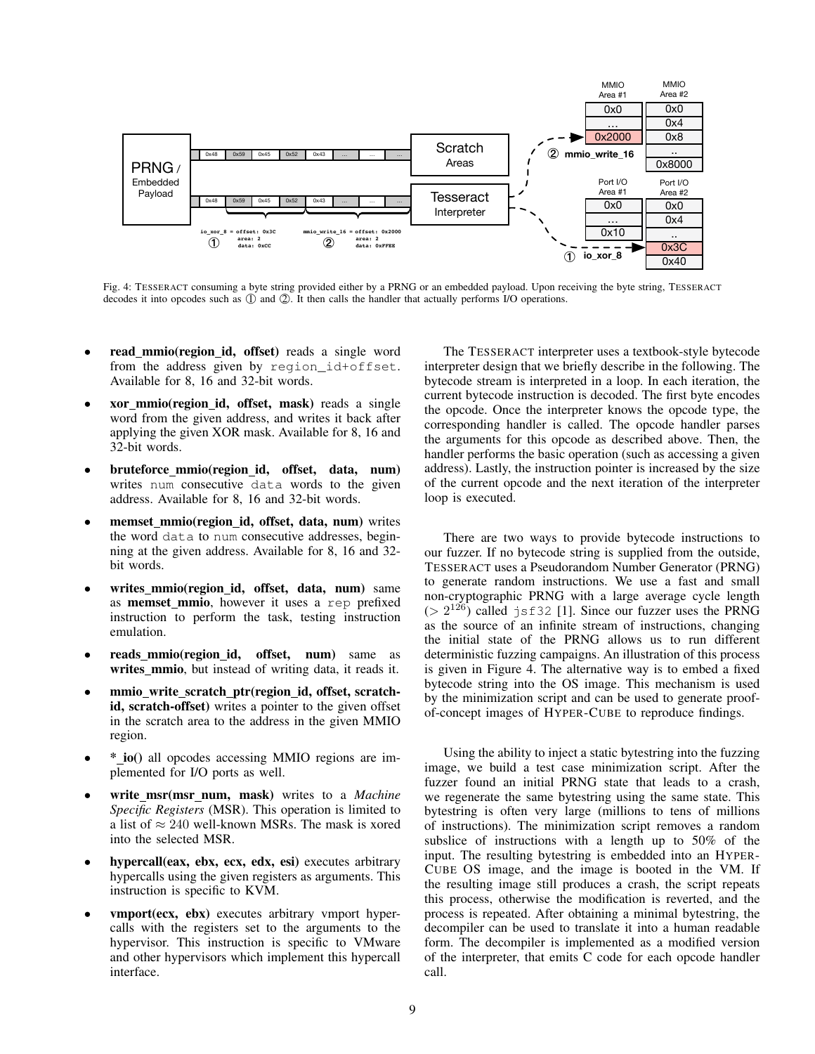

Fig. 4: TESSERACT consuming a byte string provided either by a PRNG or an embedded payload. Upon receiving the byte string, TESSERACT decodes it into opcodes such as  $\overline{Q}$  and  $\overline{Q}$ . It then calls the handler that actually performs I/O operations.

- read\_mmio(region\_id, offset) reads a single word from the address given by region\_id+offset. Available for 8, 16 and 32-bit words.
- xor mmio(region id, offset, mask) reads a single word from the given address, and writes it back after applying the given XOR mask. Available for 8, 16 and 32-bit words.
- bruteforce mmio(region id, offset, data, num) writes num consecutive data words to the given address. Available for 8, 16 and 32-bit words.
- memset mmio(region id, offset, data, num) writes the word data to num consecutive addresses, beginning at the given address. Available for 8, 16 and 32 bit words.
- writes\_mmio(region\_id, offset, data, num) same as memset mmio, however it uses a rep prefixed instruction to perform the task, testing instruction emulation.
- reads mmio(region id, offset, num) same as writes mmio, but instead of writing data, it reads it.
- mmio write scratch ptr(region id, offset, scratchid, scratch-offset) writes a pointer to the given offset in the scratch area to the address in the given MMIO region.
- \* io() all opcodes accessing MMIO regions are implemented for I/O ports as well.
- write msr(msr num, mask) writes to a *Machine Specific Registers* (MSR). This operation is limited to a list of  $\approx 240$  well-known MSRs. The mask is xored into the selected MSR.
- hypercall(eax, ebx, ecx, edx, esi) executes arbitrary hypercalls using the given registers as arguments. This instruction is specific to KVM.
- vmport(ecx, ebx) executes arbitrary vmport hypercalls with the registers set to the arguments to the hypervisor. This instruction is specific to VMware and other hypervisors which implement this hypercall interface.

The TESSERACT interpreter uses a textbook-style bytecode interpreter design that we briefly describe in the following. The bytecode stream is interpreted in a loop. In each iteration, the current bytecode instruction is decoded. The first byte encodes the opcode. Once the interpreter knows the opcode type, the corresponding handler is called. The opcode handler parses the arguments for this opcode as described above. Then, the handler performs the basic operation (such as accessing a given address). Lastly, the instruction pointer is increased by the size of the current opcode and the next iteration of the interpreter loop is executed.

There are two ways to provide bytecode instructions to our fuzzer. If no bytecode string is supplied from the outside, TESSERACT uses a Pseudorandom Number Generator (PRNG) to generate random instructions. We use a fast and small non-cryptographic PRNG with a large average cycle length  $(> 2^{126})$  called jsf32 [1]. Since our fuzzer uses the PRNG as the source of an infinite stream of instructions, changing the initial state of the PRNG allows us to run different deterministic fuzzing campaigns. An illustration of this process is given in Figure 4. The alternative way is to embed a fixed bytecode string into the OS image. This mechanism is used by the minimization script and can be used to generate proofof-concept images of HYPER-CUBE to reproduce findings.

Using the ability to inject a static bytestring into the fuzzing image, we build a test case minimization script. After the fuzzer found an initial PRNG state that leads to a crash, we regenerate the same bytestring using the same state. This bytestring is often very large (millions to tens of millions of instructions). The minimization script removes a random subslice of instructions with a length up to 50% of the input. The resulting bytestring is embedded into an HYPER-CUBE OS image, and the image is booted in the VM. If the resulting image still produces a crash, the script repeats this process, otherwise the modification is reverted, and the process is repeated. After obtaining a minimal bytestring, the decompiler can be used to translate it into a human readable form. The decompiler is implemented as a modified version of the interpreter, that emits C code for each opcode handler call.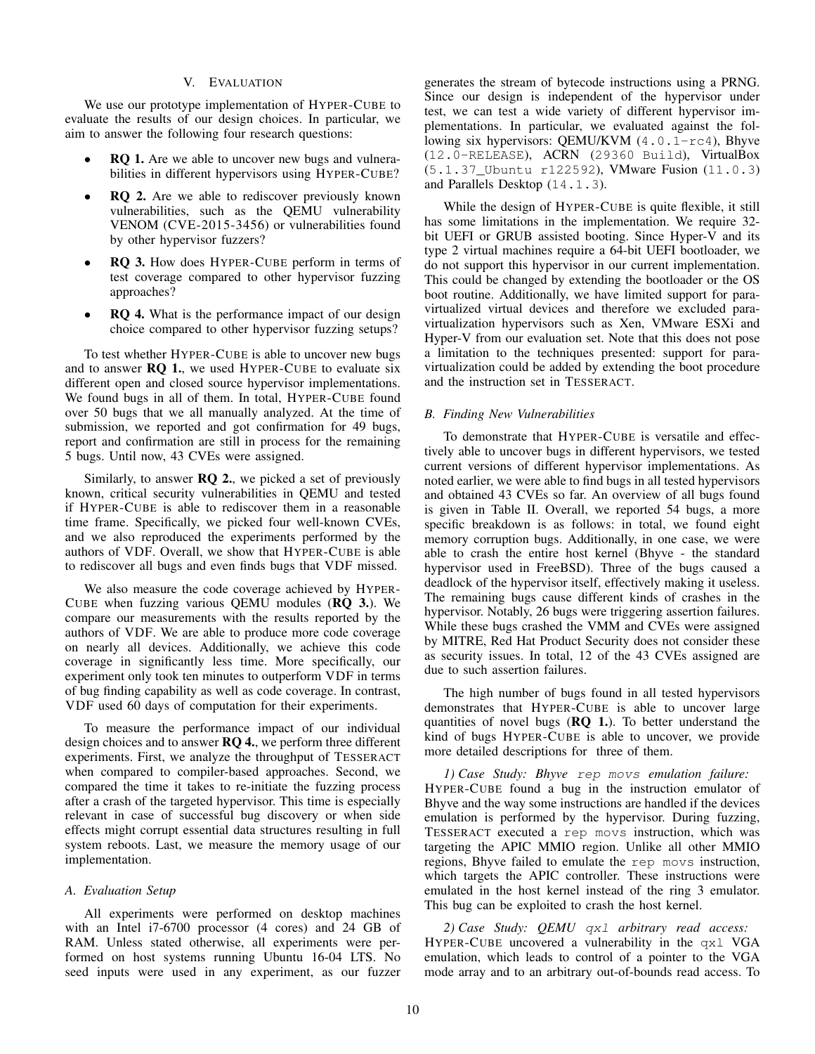## V. EVALUATION

We use our prototype implementation of HYPER-CUBE to evaluate the results of our design choices. In particular, we aim to answer the following four research questions:

- RQ 1. Are we able to uncover new bugs and vulnerabilities in different hypervisors using HYPER-CUBE?
- RQ 2. Are we able to rediscover previously known vulnerabilities, such as the QEMU vulnerability VENOM (CVE-2015-3456) or vulnerabilities found by other hypervisor fuzzers?
- RQ 3. How does HYPER-CUBE perform in terms of test coverage compared to other hypervisor fuzzing approaches?
- RQ 4. What is the performance impact of our design choice compared to other hypervisor fuzzing setups?

To test whether HYPER-CUBE is able to uncover new bugs and to answer RQ 1., we used HYPER-CUBE to evaluate six different open and closed source hypervisor implementations. We found bugs in all of them. In total, HYPER-CUBE found over 50 bugs that we all manually analyzed. At the time of submission, we reported and got confirmation for 49 bugs, report and confirmation are still in process for the remaining 5 bugs. Until now, 43 CVEs were assigned.

Similarly, to answer  $RQ$  2., we picked a set of previously known, critical security vulnerabilities in QEMU and tested if HYPER-CUBE is able to rediscover them in a reasonable time frame. Specifically, we picked four well-known CVEs, and we also reproduced the experiments performed by the authors of VDF. Overall, we show that HYPER-CUBE is able to rediscover all bugs and even finds bugs that VDF missed.

We also measure the code coverage achieved by HYPER-CUBE when fuzzing various QEMU modules (RQ 3.). We compare our measurements with the results reported by the authors of VDF. We are able to produce more code coverage on nearly all devices. Additionally, we achieve this code coverage in significantly less time. More specifically, our experiment only took ten minutes to outperform VDF in terms of bug finding capability as well as code coverage. In contrast, VDF used 60 days of computation for their experiments.

To measure the performance impact of our individual design choices and to answer **RQ 4.**, we perform three different experiments. First, we analyze the throughput of TESSERACT when compared to compiler-based approaches. Second, we compared the time it takes to re-initiate the fuzzing process after a crash of the targeted hypervisor. This time is especially relevant in case of successful bug discovery or when side effects might corrupt essential data structures resulting in full system reboots. Last, we measure the memory usage of our implementation.

# *A. Evaluation Setup*

All experiments were performed on desktop machines with an Intel i7-6700 processor (4 cores) and 24 GB of RAM. Unless stated otherwise, all experiments were performed on host systems running Ubuntu 16-04 LTS. No seed inputs were used in any experiment, as our fuzzer generates the stream of bytecode instructions using a PRNG. Since our design is independent of the hypervisor under test, we can test a wide variety of different hypervisor implementations. In particular, we evaluated against the following six hypervisors: QEMU/KVM (4.0.1-rc4), Bhyve (12.0-RELEASE), ACRN (29360 Build), VirtualBox (5.1.37\_Ubuntu r122592), VMware Fusion (11.0.3) and Parallels Desktop (14.1.3).

While the design of HYPER-CUBE is quite flexible, it still has some limitations in the implementation. We require 32bit UEFI or GRUB assisted booting. Since Hyper-V and its type 2 virtual machines require a 64-bit UEFI bootloader, we do not support this hypervisor in our current implementation. This could be changed by extending the bootloader or the OS boot routine. Additionally, we have limited support for paravirtualized virtual devices and therefore we excluded paravirtualization hypervisors such as Xen, VMware ESXi and Hyper-V from our evaluation set. Note that this does not pose a limitation to the techniques presented: support for paravirtualization could be added by extending the boot procedure and the instruction set in TESSERACT.

## *B. Finding New Vulnerabilities*

To demonstrate that HYPER-CUBE is versatile and effectively able to uncover bugs in different hypervisors, we tested current versions of different hypervisor implementations. As noted earlier, we were able to find bugs in all tested hypervisors and obtained 43 CVEs so far. An overview of all bugs found is given in Table II. Overall, we reported 54 bugs, a more specific breakdown is as follows: in total, we found eight memory corruption bugs. Additionally, in one case, we were able to crash the entire host kernel (Bhyve - the standard hypervisor used in FreeBSD). Three of the bugs caused a deadlock of the hypervisor itself, effectively making it useless. The remaining bugs cause different kinds of crashes in the hypervisor. Notably, 26 bugs were triggering assertion failures. While these bugs crashed the VMM and CVEs were assigned by MITRE, Red Hat Product Security does not consider these as security issues. In total, 12 of the 43 CVEs assigned are due to such assertion failures.

The high number of bugs found in all tested hypervisors demonstrates that HYPER-CUBE is able to uncover large quantities of novel bugs  $(RQ_1)$ . To better understand the kind of bugs HYPER-CUBE is able to uncover, we provide more detailed descriptions for three of them.

*1) Case Study: Bhyve* rep movs *emulation failure:* HYPER-CUBE found a bug in the instruction emulator of Bhyve and the way some instructions are handled if the devices emulation is performed by the hypervisor. During fuzzing, TESSERACT executed a rep movs instruction, which was targeting the APIC MMIO region. Unlike all other MMIO regions, Bhyve failed to emulate the rep movs instruction, which targets the APIC controller. These instructions were emulated in the host kernel instead of the ring 3 emulator. This bug can be exploited to crash the host kernel.

*2) Case Study: QEMU* qxl *arbitrary read access:* HYPER-CUBE uncovered a vulnerability in the qxl VGA emulation, which leads to control of a pointer to the VGA mode array and to an arbitrary out-of-bounds read access. To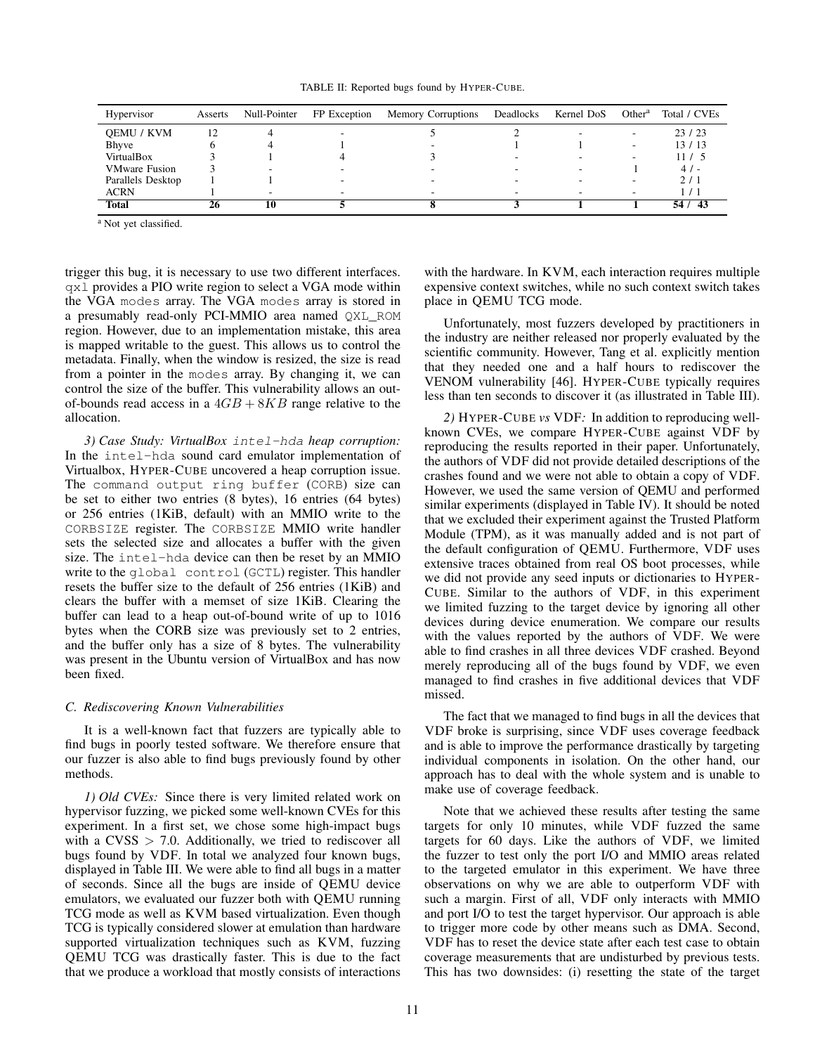TABLE II: Reported bugs found by HYPER-CUBE.

| Hypervisor           | Asserts | Null-Pointer             | FP Exception | <b>Memory Corruptions</b> | Deadlocks | Kernel DoS | Other <sup>a</sup>       | Total / CVEs  |
|----------------------|---------|--------------------------|--------------|---------------------------|-----------|------------|--------------------------|---------------|
| <b>OEMU / KVM</b>    | 12      |                          |              |                           |           |            | $\overline{\phantom{0}}$ | 23/23         |
| Bhyve                |         |                          |              |                           |           |            | $\overline{\phantom{a}}$ | 13/13         |
| VirtualBox           |         |                          |              |                           | -         |            | $\overline{\phantom{a}}$ | 11 / 5        |
| <b>VMware Fusion</b> |         | $\overline{\phantom{a}}$ |              |                           | -         |            |                          | 4/            |
| Parallels Desktop    |         |                          |              |                           | -         |            | $\overline{\phantom{a}}$ | 2/1           |
| <b>ACRN</b>          |         |                          |              |                           |           |            | $\overline{\phantom{a}}$ | $\frac{1}{2}$ |
| <b>Total</b>         | 26      | 10                       |              |                           |           |            |                          | 54/43         |

<sup>a</sup> Not yet classified.

trigger this bug, it is necessary to use two different interfaces. qxl provides a PIO write region to select a VGA mode within the VGA modes array. The VGA modes array is stored in a presumably read-only PCI-MMIO area named QXL ROM region. However, due to an implementation mistake, this area is mapped writable to the guest. This allows us to control the metadata. Finally, when the window is resized, the size is read from a pointer in the modes array. By changing it, we can control the size of the buffer. This vulnerability allows an outof-bounds read access in a  $4GB + 8KB$  range relative to the allocation.

*3) Case Study: VirtualBox* intel-hda *heap corruption:* In the intel-hda sound card emulator implementation of Virtualbox, HYPER-CUBE uncovered a heap corruption issue. The command output ring buffer (CORB) size can be set to either two entries (8 bytes), 16 entries (64 bytes) or 256 entries (1KiB, default) with an MMIO write to the CORBSIZE register. The CORBSIZE MMIO write handler sets the selected size and allocates a buffer with the given size. The intel-hda device can then be reset by an MMIO write to the global control (GCTL) register. This handler resets the buffer size to the default of 256 entries (1KiB) and clears the buffer with a memset of size 1KiB. Clearing the buffer can lead to a heap out-of-bound write of up to 1016 bytes when the CORB size was previously set to 2 entries, and the buffer only has a size of 8 bytes. The vulnerability was present in the Ubuntu version of VirtualBox and has now been fixed.

## *C. Rediscovering Known Vulnerabilities*

It is a well-known fact that fuzzers are typically able to find bugs in poorly tested software. We therefore ensure that our fuzzer is also able to find bugs previously found by other methods.

*1) Old CVEs:* Since there is very limited related work on hypervisor fuzzing, we picked some well-known CVEs for this experiment. In a first set, we chose some high-impact bugs with a  $CVSS > 7.0$ . Additionally, we tried to rediscover all bugs found by VDF. In total we analyzed four known bugs, displayed in Table III. We were able to find all bugs in a matter of seconds. Since all the bugs are inside of QEMU device emulators, we evaluated our fuzzer both with QEMU running TCG mode as well as KVM based virtualization. Even though TCG is typically considered slower at emulation than hardware supported virtualization techniques such as KVM, fuzzing QEMU TCG was drastically faster. This is due to the fact that we produce a workload that mostly consists of interactions with the hardware. In KVM, each interaction requires multiple expensive context switches, while no such context switch takes place in QEMU TCG mode.

Unfortunately, most fuzzers developed by practitioners in the industry are neither released nor properly evaluated by the scientific community. However, Tang et al. explicitly mention that they needed one and a half hours to rediscover the VENOM vulnerability [46]. HYPER-CUBE typically requires less than ten seconds to discover it (as illustrated in Table III).

*2)* HYPER-CUBE *vs* VDF*:* In addition to reproducing wellknown CVEs, we compare HYPER-CUBE against VDF by reproducing the results reported in their paper. Unfortunately, the authors of VDF did not provide detailed descriptions of the crashes found and we were not able to obtain a copy of VDF. However, we used the same version of QEMU and performed similar experiments (displayed in Table IV). It should be noted that we excluded their experiment against the Trusted Platform Module (TPM), as it was manually added and is not part of the default configuration of QEMU. Furthermore, VDF uses extensive traces obtained from real OS boot processes, while we did not provide any seed inputs or dictionaries to HYPER-CUBE. Similar to the authors of VDF, in this experiment we limited fuzzing to the target device by ignoring all other devices during device enumeration. We compare our results with the values reported by the authors of VDF. We were able to find crashes in all three devices VDF crashed. Beyond merely reproducing all of the bugs found by VDF, we even managed to find crashes in five additional devices that VDF missed.

The fact that we managed to find bugs in all the devices that VDF broke is surprising, since VDF uses coverage feedback and is able to improve the performance drastically by targeting individual components in isolation. On the other hand, our approach has to deal with the whole system and is unable to make use of coverage feedback.

Note that we achieved these results after testing the same targets for only 10 minutes, while VDF fuzzed the same targets for 60 days. Like the authors of VDF, we limited the fuzzer to test only the port I/O and MMIO areas related to the targeted emulator in this experiment. We have three observations on why we are able to outperform VDF with such a margin. First of all, VDF only interacts with MMIO and port I/O to test the target hypervisor. Our approach is able to trigger more code by other means such as DMA. Second, VDF has to reset the device state after each test case to obtain coverage measurements that are undisturbed by previous tests. This has two downsides: (i) resetting the state of the target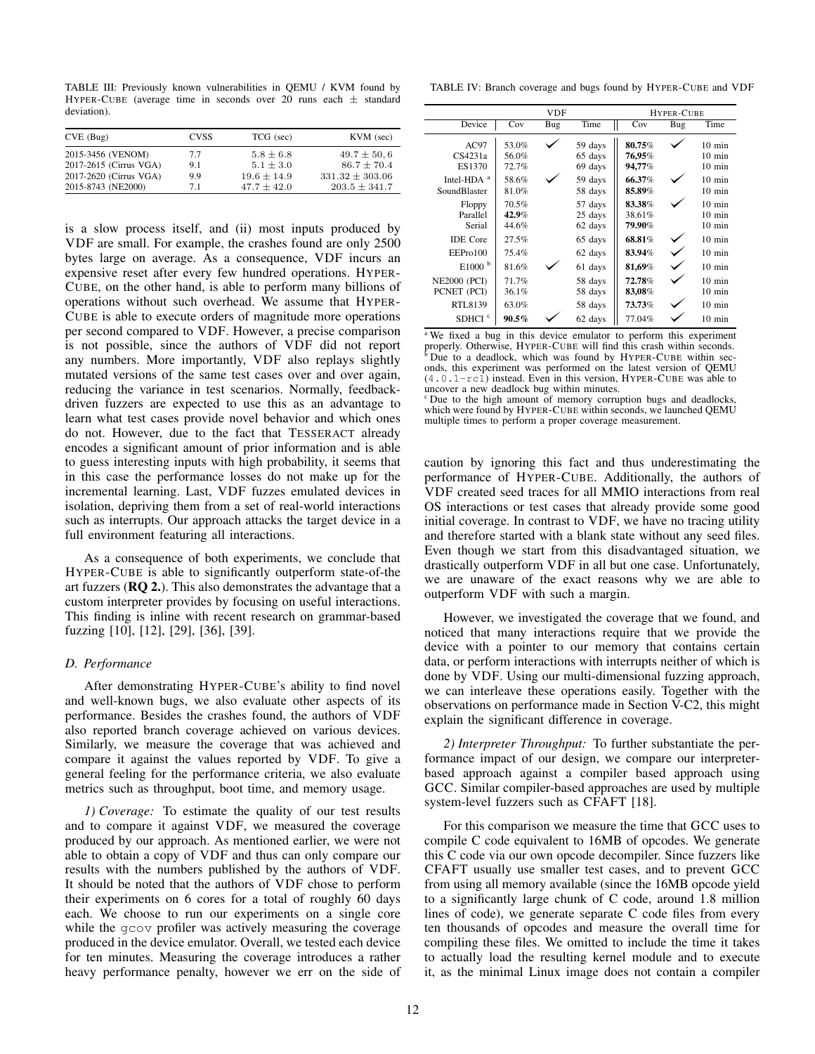TABLE III: Previously known vulnerabilities in QEMU / KVM found by HYPER-CUBE (average time in seconds over 20 runs each ± standard deviation).

| CVE(Bug)               | <b>CVSS</b> | TCG (sec)       | KVM (sec)           |
|------------------------|-------------|-----------------|---------------------|
| 2015-3456 (VENOM)      | 7.7         | $5.8 \pm 6.8$   | $49.7 \pm 50.6$     |
| 2017-2615 (Cirrus VGA) | 9.1         | $5.1 + 3.0$     | $86.7 + 70.4$       |
| 2017-2620 (Cirrus VGA) | 9.9         | $19.6 \pm 14.9$ | $331.32 \pm 303.06$ |
| 2015-8743 (NE2000)     | 71          | $47.7 + 42.0$   | $203.5 \pm 341.7$   |

is a slow process itself, and (ii) most inputs produced by VDF are small. For example, the crashes found are only 2500 bytes large on average. As a consequence, VDF incurs an expensive reset after every few hundred operations. HYPER-CUBE, on the other hand, is able to perform many billions of operations without such overhead. We assume that HYPER-CUBE is able to execute orders of magnitude more operations per second compared to VDF. However, a precise comparison is not possible, since the authors of VDF did not report any numbers. More importantly, VDF also replays slightly mutated versions of the same test cases over and over again, reducing the variance in test scenarios. Normally, feedbackdriven fuzzers are expected to use this as an advantage to learn what test cases provide novel behavior and which ones do not. However, due to the fact that TESSERACT already encodes a significant amount of prior information and is able to guess interesting inputs with high probability, it seems that in this case the performance losses do not make up for the incremental learning. Last, VDF fuzzes emulated devices in isolation, depriving them from a set of real-world interactions such as interrupts. Our approach attacks the target device in a full environment featuring all interactions.

As a consequence of both experiments, we conclude that HYPER-CUBE is able to significantly outperform state-of-the art fuzzers (RQ 2.). This also demonstrates the advantage that a custom interpreter provides by focusing on useful interactions. This finding is inline with recent research on grammar-based fuzzing [10], [12], [29], [36], [39].

# *D. Performance*

After demonstrating HYPER-CUBE's ability to find novel and well-known bugs, we also evaluate other aspects of its performance. Besides the crashes found, the authors of VDF also reported branch coverage achieved on various devices. Similarly, we measure the coverage that was achieved and compare it against the values reported by VDF. To give a general feeling for the performance criteria, we also evaluate metrics such as throughput, boot time, and memory usage.

*1) Coverage:* To estimate the quality of our test results and to compare it against VDF, we measured the coverage produced by our approach. As mentioned earlier, we were not able to obtain a copy of VDF and thus can only compare our results with the numbers published by the authors of VDF. It should be noted that the authors of VDF chose to perform their experiments on 6 cores for a total of roughly 60 days each. We choose to run our experiments on a single core while the gcov profiler was actively measuring the coverage produced in the device emulator. Overall, we tested each device for ten minutes. Measuring the coverage introduces a rather heavy performance penalty, however we err on the side of

TABLE IV: Branch coverage and bugs found by HYPER-CUBE and VDF

|                                          |                         | HYPER-CUBE |                               |                            |     |                                                          |
|------------------------------------------|-------------------------|------------|-------------------------------|----------------------------|-----|----------------------------------------------------------|
| Device                                   | Cov                     | Bug        | Time                          | Cov                        | Bug | Time                                                     |
| AC97<br>CS4231a<br>ES1370                | 53.0%<br>56.0%<br>72.7% |            | 59 days<br>65 days<br>69 days | 80.75%<br>76,95%<br>94,77% |     | $10 \text{ min}$<br>$10 \text{ min}$<br>$10 \text{ min}$ |
| Intel-HDA <sup>a</sup><br>SoundBlaster   | 58.6%<br>81.0%          |            | 59 days<br>58 days            | 66.37%<br>85.89%           |     | $10 \text{ min}$<br>$10 \text{ min}$                     |
| Floppy<br>Parallel<br>Serial             | 70.5%<br>42.9%<br>44.6% |            | 57 days<br>25 days<br>62 days | 83.38%<br>38.61%<br>79.90% |     | $10 \text{ min}$<br>$10 \text{ min}$<br>$10 \text{ min}$ |
| <b>IDE</b> Core<br>EEP <sub>ro</sub> 100 | 27.5%<br>75.4%          |            | 65 days<br>62 days            | 68.81%<br>83.94%           |     | $10 \text{ min}$<br>$10 \text{ min}$                     |
| E1000 <sup>b</sup>                       | 81.6%                   |            | 61 days                       | 81,69%                     |     | $10 \text{ min}$                                         |
| <b>NE2000 (PCI)</b><br>PCNET (PCI)       | 71.7%<br>36.1%          |            | 58 days<br>58 days            | 72.78%<br>83,08%           |     | $10 \text{ min}$<br>$10 \text{ min}$                     |
| RTL8139<br>SDHCI <sup>c</sup>            | 63.0%<br>$90.5\%$       |            | 58 days<br>62 days            | 73.73%<br>77.04%           |     | $10 \text{ min}$<br>$10 \text{ min}$                     |

<sup>a</sup> We fixed a bug in this device emulator to perform this experiment properly. Otherwise, HYPER-CUBE will find this crash within seconds.  $\overline{D}$  Due to a deadlock, which was found by HYPER-CUBE within seconds, this experiment was performed on the latest version of QEMU (4.0.1-rc1) instead. Even in this version, HYPER-CUBE was able to uncover a new deadlock bug within minutes.

<sup>c</sup> Due to the high amount of memory corruption bugs and deadlocks, which were found by HYPER-CUBE within seconds, we launched QEMU multiple times to perform a proper coverage measurement.

caution by ignoring this fact and thus underestimating the performance of HYPER-CUBE. Additionally, the authors of VDF created seed traces for all MMIO interactions from real OS interactions or test cases that already provide some good initial coverage. In contrast to VDF, we have no tracing utility and therefore started with a blank state without any seed files. Even though we start from this disadvantaged situation, we drastically outperform VDF in all but one case. Unfortunately, we are unaware of the exact reasons why we are able to outperform VDF with such a margin.

However, we investigated the coverage that we found, and noticed that many interactions require that we provide the device with a pointer to our memory that contains certain data, or perform interactions with interrupts neither of which is done by VDF. Using our multi-dimensional fuzzing approach, we can interleave these operations easily. Together with the observations on performance made in Section V-C2, this might explain the significant difference in coverage.

*2) Interpreter Throughput:* To further substantiate the performance impact of our design, we compare our interpreterbased approach against a compiler based approach using GCC. Similar compiler-based approaches are used by multiple system-level fuzzers such as CFAFT [18].

For this comparison we measure the time that GCC uses to compile C code equivalent to 16MB of opcodes. We generate this C code via our own opcode decompiler. Since fuzzers like CFAFT usually use smaller test cases, and to prevent GCC from using all memory available (since the 16MB opcode yield to a significantly large chunk of C code, around 1.8 million lines of code), we generate separate C code files from every ten thousands of opcodes and measure the overall time for compiling these files. We omitted to include the time it takes to actually load the resulting kernel module and to execute it, as the minimal Linux image does not contain a compiler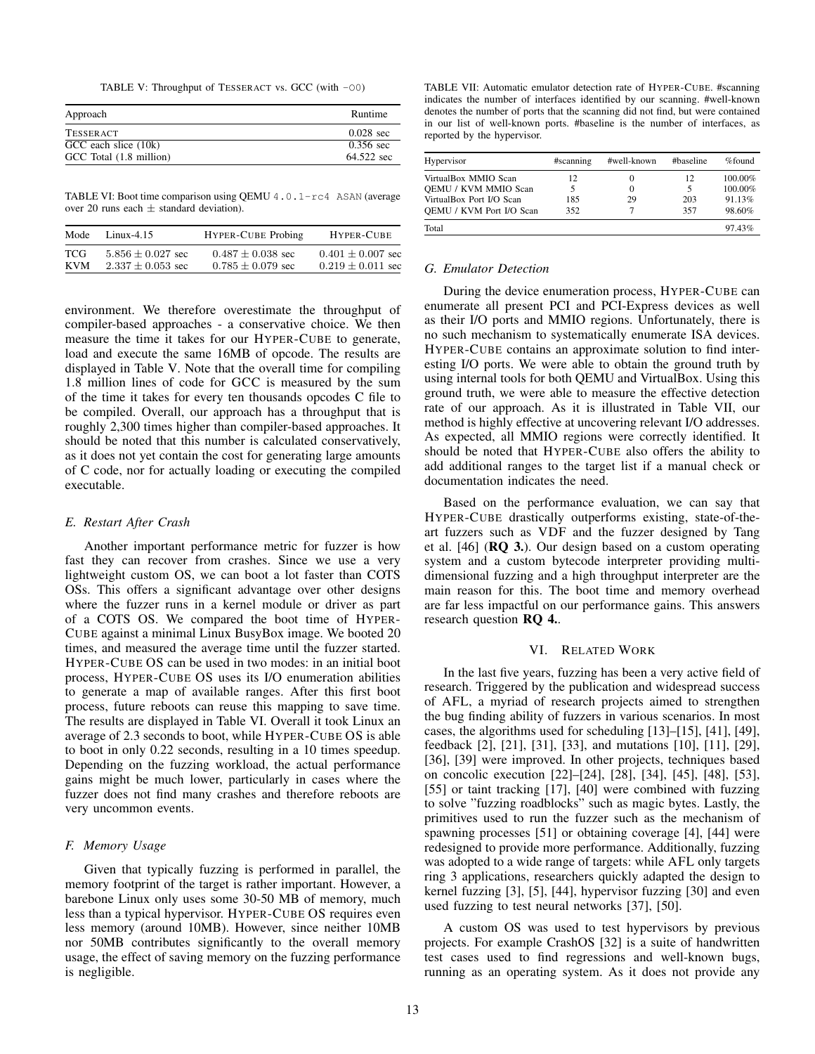TABLE V: Throughput of TESSERACT vs. GCC (with -O0)

| Approach                | Runtime             |
|-------------------------|---------------------|
| <b>TESSERACT</b>        | $0.028 \text{ sec}$ |
| GCC each slice (10k)    | $0.356$ sec         |
| GCC Total (1.8 million) | 64.522 sec          |

TABLE VI: Boot time comparison using QEMU 4.0.1-rc4 ASAN (average over 20 runs each  $\pm$  standard deviation).

| Mode | Linux-4.15            | <b>HYPER-CUBE Probing</b> | HYPER-CUBE            |
|------|-----------------------|---------------------------|-----------------------|
| TCG  | $5.856 \pm 0.027$ sec | $0.487 \pm 0.038$ sec     | $0.401 \pm 0.007$ sec |
| KVM  | $2.337 \pm 0.053$ sec | $0.785 \pm 0.079$ sec     | $0.219 \pm 0.011$ sec |

environment. We therefore overestimate the throughput of compiler-based approaches - a conservative choice. We then measure the time it takes for our HYPER-CUBE to generate, load and execute the same 16MB of opcode. The results are displayed in Table V. Note that the overall time for compiling 1.8 million lines of code for GCC is measured by the sum of the time it takes for every ten thousands opcodes C file to be compiled. Overall, our approach has a throughput that is roughly 2,300 times higher than compiler-based approaches. It should be noted that this number is calculated conservatively, as it does not yet contain the cost for generating large amounts of C code, nor for actually loading or executing the compiled executable.

## *E. Restart After Crash*

Another important performance metric for fuzzer is how fast they can recover from crashes. Since we use a very lightweight custom OS, we can boot a lot faster than COTS OSs. This offers a significant advantage over other designs where the fuzzer runs in a kernel module or driver as part of a COTS OS. We compared the boot time of HYPER-CUBE against a minimal Linux BusyBox image. We booted 20 times, and measured the average time until the fuzzer started. HYPER-CUBE OS can be used in two modes: in an initial boot process, HYPER-CUBE OS uses its I/O enumeration abilities to generate a map of available ranges. After this first boot process, future reboots can reuse this mapping to save time. The results are displayed in Table VI. Overall it took Linux an average of 2.3 seconds to boot, while HYPER-CUBE OS is able to boot in only 0.22 seconds, resulting in a 10 times speedup. Depending on the fuzzing workload, the actual performance gains might be much lower, particularly in cases where the fuzzer does not find many crashes and therefore reboots are very uncommon events.

## *F. Memory Usage*

Given that typically fuzzing is performed in parallel, the memory footprint of the target is rather important. However, a barebone Linux only uses some 30-50 MB of memory, much less than a typical hypervisor. HYPER-CUBE OS requires even less memory (around 10MB). However, since neither 10MB nor 50MB contributes significantly to the overall memory usage, the effect of saving memory on the fuzzing performance is negligible.

TABLE VII: Automatic emulator detection rate of HYPER-CUBE. #scanning indicates the number of interfaces identified by our scanning. #well-known denotes the number of ports that the scanning did not find, but were contained in our list of well-known ports. #baseline is the number of interfaces, as reported by the hypervisor.

| Hypervisor                      | #scanning | #well-known | #baseline | %found  |
|---------------------------------|-----------|-------------|-----------|---------|
| VirtualBox MMIO Scan            | 12        | $\Omega$    | 12        | 100.00% |
| <b>OEMU / KVM MMIO Scan</b>     |           | $\Omega$    |           | 100.00% |
| VirtualBox Port I/O Scan        | 185       | 29          | 203       | 91.13%  |
| <b>OEMU / KVM Port I/O Scan</b> | 352       |             | 357       | 98.60%  |
| Total                           |           |             |           | 97.43%  |

#### *G. Emulator Detection*

During the device enumeration process, HYPER-CUBE can enumerate all present PCI and PCI-Express devices as well as their I/O ports and MMIO regions. Unfortunately, there is no such mechanism to systematically enumerate ISA devices. HYPER-CUBE contains an approximate solution to find interesting I/O ports. We were able to obtain the ground truth by using internal tools for both QEMU and VirtualBox. Using this ground truth, we were able to measure the effective detection rate of our approach. As it is illustrated in Table VII, our method is highly effective at uncovering relevant I/O addresses. As expected, all MMIO regions were correctly identified. It should be noted that HYPER-CUBE also offers the ability to add additional ranges to the target list if a manual check or documentation indicates the need.

Based on the performance evaluation, we can say that HYPER-CUBE drastically outperforms existing, state-of-theart fuzzers such as VDF and the fuzzer designed by Tang et al. [46] (RQ 3.). Our design based on a custom operating system and a custom bytecode interpreter providing multidimensional fuzzing and a high throughput interpreter are the main reason for this. The boot time and memory overhead are far less impactful on our performance gains. This answers research question RQ 4..

## VI. RELATED WORK

In the last five years, fuzzing has been a very active field of research. Triggered by the publication and widespread success of AFL, a myriad of research projects aimed to strengthen the bug finding ability of fuzzers in various scenarios. In most cases, the algorithms used for scheduling [13]–[15], [41], [49], feedback [2], [21], [31], [33], and mutations [10], [11], [29], [36], [39] were improved. In other projects, techniques based on concolic execution [22]–[24], [28], [34], [45], [48], [53], [55] or taint tracking [17], [40] were combined with fuzzing to solve "fuzzing roadblocks" such as magic bytes. Lastly, the primitives used to run the fuzzer such as the mechanism of spawning processes [51] or obtaining coverage [4], [44] were redesigned to provide more performance. Additionally, fuzzing was adopted to a wide range of targets: while AFL only targets ring 3 applications, researchers quickly adapted the design to kernel fuzzing [3], [5], [44], hypervisor fuzzing [30] and even used fuzzing to test neural networks [37], [50].

A custom OS was used to test hypervisors by previous projects. For example CrashOS [32] is a suite of handwritten test cases used to find regressions and well-known bugs, running as an operating system. As it does not provide any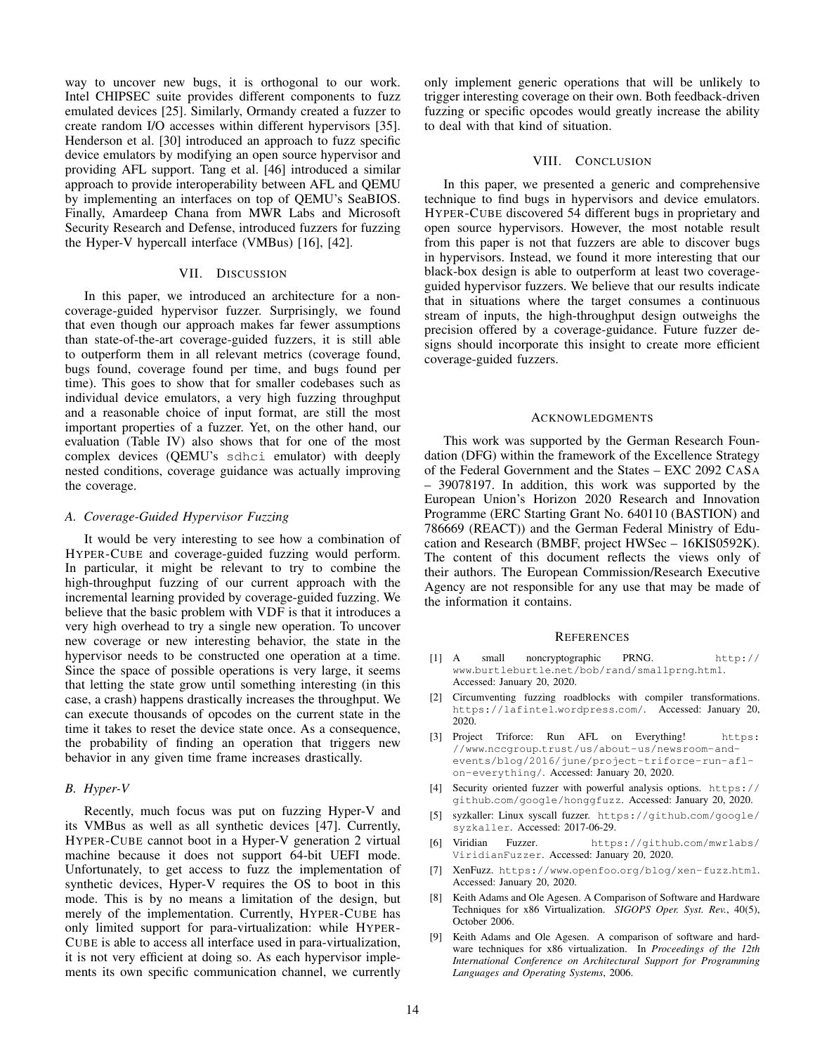way to uncover new bugs, it is orthogonal to our work. Intel CHIPSEC suite provides different components to fuzz emulated devices [25]. Similarly, Ormandy created a fuzzer to create random I/O accesses within different hypervisors [35]. Henderson et al. [30] introduced an approach to fuzz specific device emulators by modifying an open source hypervisor and providing AFL support. Tang et al. [46] introduced a similar approach to provide interoperability between AFL and QEMU by implementing an interfaces on top of QEMU's SeaBIOS. Finally, Amardeep Chana from MWR Labs and Microsoft Security Research and Defense, introduced fuzzers for fuzzing the Hyper-V hypercall interface (VMBus) [16], [42].

#### VII. DISCUSSION

In this paper, we introduced an architecture for a noncoverage-guided hypervisor fuzzer. Surprisingly, we found that even though our approach makes far fewer assumptions than state-of-the-art coverage-guided fuzzers, it is still able to outperform them in all relevant metrics (coverage found, bugs found, coverage found per time, and bugs found per time). This goes to show that for smaller codebases such as individual device emulators, a very high fuzzing throughput and a reasonable choice of input format, are still the most important properties of a fuzzer. Yet, on the other hand, our evaluation (Table IV) also shows that for one of the most complex devices (QEMU's sdhci emulator) with deeply nested conditions, coverage guidance was actually improving the coverage.

## *A. Coverage-Guided Hypervisor Fuzzing*

It would be very interesting to see how a combination of HYPER-CUBE and coverage-guided fuzzing would perform. In particular, it might be relevant to try to combine the high-throughput fuzzing of our current approach with the incremental learning provided by coverage-guided fuzzing. We believe that the basic problem with VDF is that it introduces a very high overhead to try a single new operation. To uncover new coverage or new interesting behavior, the state in the hypervisor needs to be constructed one operation at a time. Since the space of possible operations is very large, it seems that letting the state grow until something interesting (in this case, a crash) happens drastically increases the throughput. We can execute thousands of opcodes on the current state in the time it takes to reset the device state once. As a consequence, the probability of finding an operation that triggers new behavior in any given time frame increases drastically.

## *B. Hyper-V*

Recently, much focus was put on fuzzing Hyper-V and its VMBus as well as all synthetic devices [47]. Currently, HYPER-CUBE cannot boot in a Hyper-V generation 2 virtual machine because it does not support 64-bit UEFI mode. Unfortunately, to get access to fuzz the implementation of synthetic devices, Hyper-V requires the OS to boot in this mode. This is by no means a limitation of the design, but merely of the implementation. Currently, HYPER-CUBE has only limited support for para-virtualization: while HYPER-CUBE is able to access all interface used in para-virtualization, it is not very efficient at doing so. As each hypervisor implements its own specific communication channel, we currently only implement generic operations that will be unlikely to trigger interesting coverage on their own. Both feedback-driven fuzzing or specific opcodes would greatly increase the ability to deal with that kind of situation.

# VIII. CONCLUSION

In this paper, we presented a generic and comprehensive technique to find bugs in hypervisors and device emulators. HYPER-CUBE discovered 54 different bugs in proprietary and open source hypervisors. However, the most notable result from this paper is not that fuzzers are able to discover bugs in hypervisors. Instead, we found it more interesting that our black-box design is able to outperform at least two coverageguided hypervisor fuzzers. We believe that our results indicate that in situations where the target consumes a continuous stream of inputs, the high-throughput design outweighs the precision offered by a coverage-guidance. Future fuzzer designs should incorporate this insight to create more efficient coverage-guided fuzzers.

## ACKNOWLEDGMENTS

This work was supported by the German Research Foundation (DFG) within the framework of the Excellence Strategy of the Federal Government and the States – EXC 2092 CASA – 39078197. In addition, this work was supported by the European Union's Horizon 2020 Research and Innovation Programme (ERC Starting Grant No. 640110 (BASTION) and 786669 (REACT)) and the German Federal Ministry of Education and Research (BMBF, project HWSec – 16KIS0592K). The content of this document reflects the views only of their authors. The European Commission/Research Executive Agency are not responsible for any use that may be made of the information it contains.

# **REFERENCES**

- [1] A small noncryptographic PRNG. http:// www.burtleburtle.net/bob/rand/smallprng.html. Accessed: January 20, 2020.
- [2] Circumventing fuzzing roadblocks with compiler transformations. https://lafintel.wordpress.com/. Accessed: January 20, 2020.
- [3] Project Triforce: Run AFL on Everything! https: //www.nccgroup.trust/us/about-us/newsroom-andevents/blog/2016/june/project-triforce-run-aflon-everything/. Accessed: January 20, 2020.
- [4] Security oriented fuzzer with powerful analysis options. https:// github.com/google/honggfuzz. Accessed: January 20, 2020.
- [5] syzkaller: Linux syscall fuzzer. https://github.com/google/ syzkaller. Accessed: 2017-06-29.
- [6] Viridian Fuzzer. https://github.com/mwrlabs/ ViridianFuzzer. Accessed: January 20, 2020.
- [7] XenFuzz. https://www.openfoo.org/blog/xen-fuzz.html. Accessed: January 20, 2020.
- [8] Keith Adams and Ole Agesen. A Comparison of Software and Hardware Techniques for x86 Virtualization. *SIGOPS Oper. Syst. Rev.*, 40(5), October 2006.
- Keith Adams and Ole Agesen. A comparison of software and hardware techniques for x86 virtualization. In *Proceedings of the 12th International Conference on Architectural Support for Programming Languages and Operating Systems*, 2006.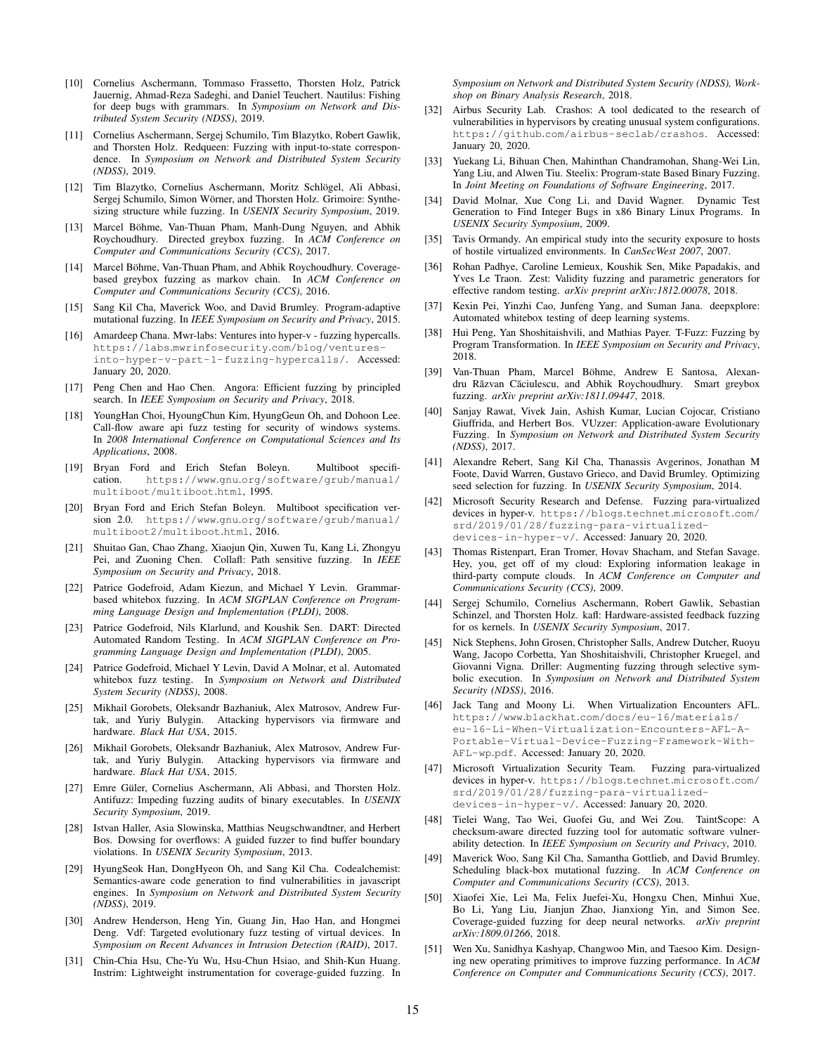- [10] Cornelius Aschermann, Tommaso Frassetto, Thorsten Holz, Patrick Jauernig, Ahmad-Reza Sadeghi, and Daniel Teuchert. Nautilus: Fishing for deep bugs with grammars. In *Symposium on Network and Distributed System Security (NDSS)*, 2019.
- [11] Cornelius Aschermann, Sergej Schumilo, Tim Blazytko, Robert Gawlik, and Thorsten Holz. Redqueen: Fuzzing with input-to-state correspondence. In *Symposium on Network and Distributed System Security (NDSS)*, 2019.
- [12] Tim Blazytko, Cornelius Aschermann, Moritz Schlögel, Ali Abbasi, Sergej Schumilo, Simon Wörner, and Thorsten Holz. Grimoire: Synthesizing structure while fuzzing. In *USENIX Security Symposium*, 2019.
- [13] Marcel Böhme, Van-Thuan Pham, Manh-Dung Nguyen, and Abhik Roychoudhury. Directed greybox fuzzing. In *ACM Conference on Computer and Communications Security (CCS)*, 2017.
- [14] Marcel Böhme, Van-Thuan Pham, and Abhik Roychoudhury. Coveragebased greybox fuzzing as markov chain. In *ACM Conference on Computer and Communications Security (CCS)*, 2016.
- [15] Sang Kil Cha, Maverick Woo, and David Brumley. Program-adaptive mutational fuzzing. In *IEEE Symposium on Security and Privacy*, 2015.
- [16] Amardeep Chana. Mwr-labs: Ventures into hyper-v fuzzing hypercalls. https://labs.mwrinfosecurity.com/blog/venturesinto-hyper-v-part-1-fuzzing-hypercalls/. Accessed: January 20, 2020.
- [17] Peng Chen and Hao Chen. Angora: Efficient fuzzing by principled search. In *IEEE Symposium on Security and Privacy*, 2018.
- [18] YoungHan Choi, HyoungChun Kim, HyungGeun Oh, and Dohoon Lee. Call-flow aware api fuzz testing for security of windows systems. In *2008 International Conference on Computational Sciences and Its Applications*, 2008.
- [19] Bryan Ford and Erich Stefan Boleyn. Multiboot specifihttps://www.gnu.org/software/grub/manual/ multiboot/multiboot.html, 1995.
- [20] Bryan Ford and Erich Stefan Boleyn. Multiboot specification version 2.0. https://www.gnu.org/software/grub/manual/ multiboot2/multiboot.html, 2016.
- [21] Shuitao Gan, Chao Zhang, Xiaojun Qin, Xuwen Tu, Kang Li, Zhongyu Pei, and Zuoning Chen. Collafl: Path sensitive fuzzing. In *IEEE Symposium on Security and Privacy*, 2018.
- [22] Patrice Godefroid, Adam Kiezun, and Michael Y Levin. Grammarbased whitebox fuzzing. In *ACM SIGPLAN Conference on Programming Language Design and Implementation (PLDI)*, 2008.
- [23] Patrice Godefroid, Nils Klarlund, and Koushik Sen. DART: Directed Automated Random Testing. In *ACM SIGPLAN Conference on Programming Language Design and Implementation (PLDI)*, 2005.
- [24] Patrice Godefroid, Michael Y Levin, David A Molnar, et al. Automated whitebox fuzz testing. In *Symposium on Network and Distributed System Security (NDSS)*, 2008.
- [25] Mikhail Gorobets, Oleksandr Bazhaniuk, Alex Matrosov, Andrew Furtak, and Yuriy Bulygin. Attacking hypervisors via firmware and hardware. *Black Hat USA*, 2015.
- [26] Mikhail Gorobets, Oleksandr Bazhaniuk, Alex Matrosov, Andrew Furtak, and Yuriy Bulygin. Attacking hypervisors via firmware and hardware. *Black Hat USA*, 2015.
- [27] Emre Güler, Cornelius Aschermann, Ali Abbasi, and Thorsten Holz. Antifuzz: Impeding fuzzing audits of binary executables. In *USENIX Security Symposium*, 2019.
- [28] Istvan Haller, Asia Slowinska, Matthias Neugschwandtner, and Herbert Bos. Dowsing for overflows: A guided fuzzer to find buffer boundary violations. In *USENIX Security Symposium*, 2013.
- [29] HyungSeok Han, DongHyeon Oh, and Sang Kil Cha. Codealchemist: Semantics-aware code generation to find vulnerabilities in javascript engines. In *Symposium on Network and Distributed System Security (NDSS)*, 2019.
- [30] Andrew Henderson, Heng Yin, Guang Jin, Hao Han, and Hongmei Deng. Vdf: Targeted evolutionary fuzz testing of virtual devices. In *Symposium on Recent Advances in Intrusion Detection (RAID)*, 2017.
- [31] Chin-Chia Hsu, Che-Yu Wu, Hsu-Chun Hsiao, and Shih-Kun Huang. Instrim: Lightweight instrumentation for coverage-guided fuzzing. In

*Symposium on Network and Distributed System Security (NDSS), Workshop on Binary Analysis Research*, 2018.

- [32] Airbus Security Lab. Crashos: A tool dedicated to the research of vulnerabilities in hypervisors by creating unusual system configurations. https://github.com/airbus-seclab/crashos. Accessed: January 20, 2020.
- [33] Yuekang Li, Bihuan Chen, Mahinthan Chandramohan, Shang-Wei Lin, Yang Liu, and Alwen Tiu. Steelix: Program-state Based Binary Fuzzing. In *Joint Meeting on Foundations of Software Engineering*, 2017.
- [34] David Molnar, Xue Cong Li, and David Wagner. Dynamic Test Generation to Find Integer Bugs in x86 Binary Linux Programs. In *USENIX Security Symposium*, 2009.
- [35] Tavis Ormandy. An empirical study into the security exposure to hosts of hostile virtualized environments. In *CanSecWest 2007*, 2007.
- [36] Rohan Padhye, Caroline Lemieux, Koushik Sen, Mike Papadakis, and Yves Le Traon. Zest: Validity fuzzing and parametric generators for effective random testing. *arXiv preprint arXiv:1812.00078*, 2018.
- [37] Kexin Pei, Yinzhi Cao, Junfeng Yang, and Suman Jana. deepxplore: Automated whitebox testing of deep learning systems.
- [38] Hui Peng, Yan Shoshitaishvili, and Mathias Payer. T-Fuzz: Fuzzing by Program Transformation. In *IEEE Symposium on Security and Privacy*, 2018.
- [39] Van-Thuan Pham, Marcel Böhme, Andrew E Santosa, Alexandru Răzvan Căciulescu, and Abhik Roychoudhury. Smart greybox fuzzing. *arXiv preprint arXiv:1811.09447*, 2018.
- [40] Sanjay Rawat, Vivek Jain, Ashish Kumar, Lucian Cojocar, Cristiano Giuffrida, and Herbert Bos. VUzzer: Application-aware Evolutionary Fuzzing. In *Symposium on Network and Distributed System Security (NDSS)*, 2017.
- [41] Alexandre Rebert, Sang Kil Cha, Thanassis Avgerinos, Jonathan M Foote, David Warren, Gustavo Grieco, and David Brumley. Optimizing seed selection for fuzzing. In *USENIX Security Symposium*, 2014.
- [42] Microsoft Security Research and Defense. Fuzzing para-virtualized devices in hyper-v. https://blogs.technet.microsoft.com/ srd/2019/01/28/fuzzing-para-virtualizeddevices-in-hyper-v/. Accessed: January 20, 2020.
- [43] Thomas Ristenpart, Eran Tromer, Hovav Shacham, and Stefan Savage. Hey, you, get off of my cloud: Exploring information leakage in third-party compute clouds. In *ACM Conference on Computer and Communications Security (CCS)*, 2009.
- [44] Sergej Schumilo, Cornelius Aschermann, Robert Gawlik, Sebastian Schinzel, and Thorsten Holz. kafl: Hardware-assisted feedback fuzzing for os kernels. In *USENIX Security Symposium*, 2017.
- [45] Nick Stephens, John Grosen, Christopher Salls, Andrew Dutcher, Ruoyu Wang, Jacopo Corbetta, Yan Shoshitaishvili, Christopher Kruegel, and Giovanni Vigna. Driller: Augmenting fuzzing through selective symbolic execution. In *Symposium on Network and Distributed System Security (NDSS)*, 2016.
- [46] Jack Tang and Moony Li. When Virtualization Encounters AFL. https://www.blackhat.com/docs/eu-16/materials/ eu-16-Li-When-Virtualization-Encounters-AFL-A-Portable-Virtual-Device-Fuzzing-Framework-With-AFL-wp.pdf. Accessed: January 20, 2020.
- [47] Microsoft Virtualization Security Team. Fuzzing para-virtualized devices in hyper-v. https://blogs.technet.microsoft.com/ srd/2019/01/28/fuzzing-para-virtualizeddevices-in-hyper-v/. Accessed: January 20, 2020.
- [48] Tielei Wang, Tao Wei, Guofei Gu, and Wei Zou. TaintScope: A checksum-aware directed fuzzing tool for automatic software vulnerability detection. In *IEEE Symposium on Security and Privacy*, 2010.
- [49] Maverick Woo, Sang Kil Cha, Samantha Gottlieb, and David Brumley. Scheduling black-box mutational fuzzing. In *ACM Conference on Computer and Communications Security (CCS)*, 2013.
- [50] Xiaofei Xie, Lei Ma, Felix Juefei-Xu, Hongxu Chen, Minhui Xue, Bo Li, Yang Liu, Jianjun Zhao, Jianxiong Yin, and Simon See. Coverage-guided fuzzing for deep neural networks. *arXiv preprint arXiv:1809.01266*, 2018.
- [51] Wen Xu, Sanidhya Kashyap, Changwoo Min, and Taesoo Kim. Designing new operating primitives to improve fuzzing performance. In *ACM Conference on Computer and Communications Security (CCS)*, 2017.